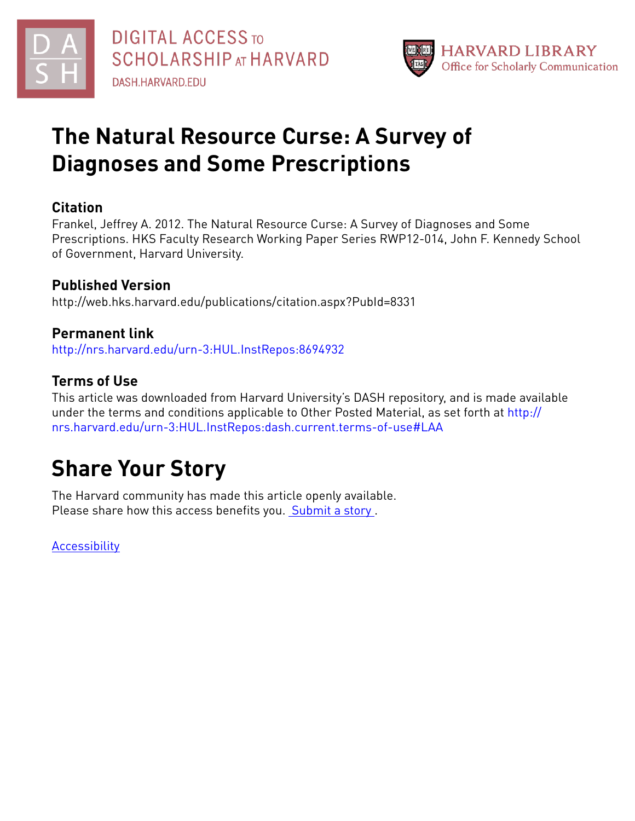



# **The Natural Resource Curse: A Survey of Diagnoses and Some Prescriptions**

# **Citation**

Frankel, Jeffrey A. 2012. The Natural Resource Curse: A Survey of Diagnoses and Some Prescriptions. HKS Faculty Research Working Paper Series RWP12-014, John F. Kennedy School of Government, Harvard University.

# **Published Version**

http://web.hks.harvard.edu/publications/citation.aspx?PubId=8331

# **Permanent link**

<http://nrs.harvard.edu/urn-3:HUL.InstRepos:8694932>

# **Terms of Use**

This article was downloaded from Harvard University's DASH repository, and is made available under the terms and conditions applicable to Other Posted Material, as set forth at [http://](http://nrs.harvard.edu/urn-3:HUL.InstRepos:dash.current.terms-of-use#LAA) [nrs.harvard.edu/urn-3:HUL.InstRepos:dash.current.terms-of-use#LAA](http://nrs.harvard.edu/urn-3:HUL.InstRepos:dash.current.terms-of-use#LAA)

# **Share Your Story**

The Harvard community has made this article openly available. Please share how this access benefits you. [Submit](http://osc.hul.harvard.edu/dash/open-access-feedback?handle=&title=The%20Natural%20Resource%20Curse:%20A%20Survey%20of%20Diagnoses%20and%20Some%20Prescriptions&community=1/3345933&collection=1/3345934&owningCollection1/3345934&harvardAuthors=0a68feb3de6deb0ee4fe6b7b29f83f89&department) a story .

**[Accessibility](https://dash.harvard.edu/pages/accessibility)**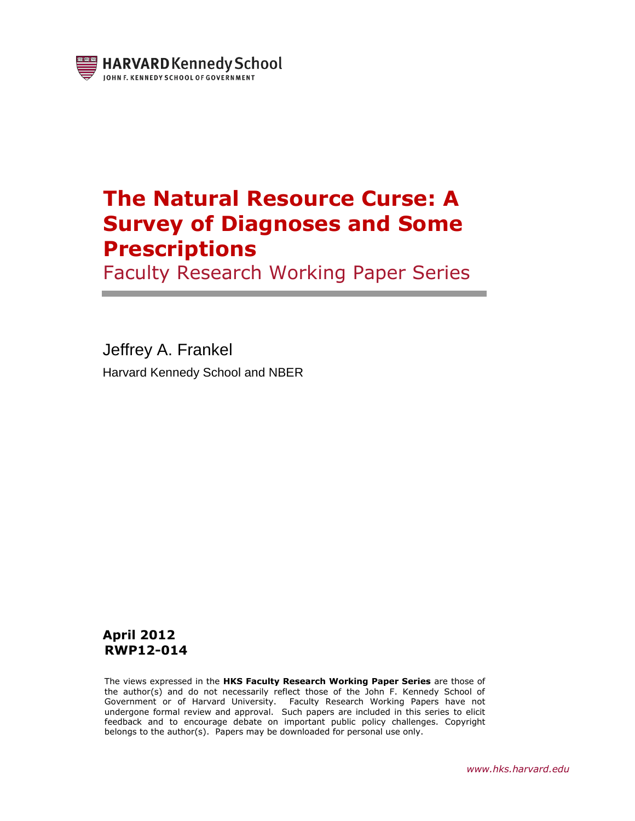

# **The Natural Resource Curse: A Survey of Diagnoses and Some Prescriptions**

Faculty Research Working Paper Series

Jeffrey A. Frankel Harvard Kennedy School and NBER

## **April 2012 RWP12-014**

The views expressed in the **HKS Faculty Research Working Paper Series** are those of the author(s) and do not necessarily reflect those of the John F. Kennedy School of Government or of Harvard University. Faculty Research Working Papers have not undergone formal review and approval. Such papers are included in this series to elicit feedback and to encourage debate on important public policy challenges. Copyright belongs to the author(s). Papers may be downloaded for personal use only.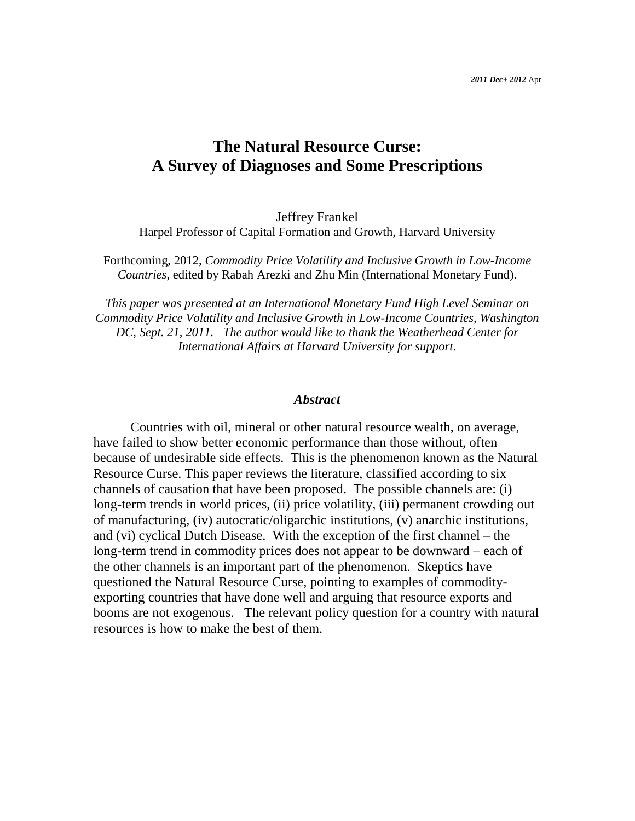*2011 Dec+ 2012* Apr

# **The Natural Resource Curse: A Survey of Diagnoses and Some Prescriptions**

Jeffrey Frankel

Harpel Professor of Capital Formation and Growth, Harvard University

Forthcoming, 2012, *Commodity Price Volatility and Inclusive Growth in Low-Income Countries*, edited by Rabah Arezki and Zhu Min (International Monetary Fund).

*This paper was presented at an International Monetary Fund High Level Seminar on Commodity Price Volatility and Inclusive Growth in Low-Income Countries, Washington DC, Sept. 21, 2011. The author would like to thank the Weatherhead Center for International Affairs at Harvard University for support.* 

#### *Abstract*

Countries with oil, mineral or other natural resource wealth, on average, have failed to show better economic performance than those without, often because of undesirable side effects. This is the phenomenon known as the Natural Resource Curse. This paper reviews the literature, classified according to six channels of causation that have been proposed. The possible channels are: (i) long-term trends in world prices, (ii) price volatility, (iii) permanent crowding out of manufacturing, (iv) autocratic/oligarchic institutions, (v) anarchic institutions, and (vi) cyclical Dutch Disease. With the exception of the first channel – the long-term trend in commodity prices does not appear to be downward – each of the other channels is an important part of the phenomenon. Skeptics have questioned the Natural Resource Curse, pointing to examples of commodityexporting countries that have done well and arguing that resource exports and booms are not exogenous. The relevant policy question for a country with natural resources is how to make the best of them.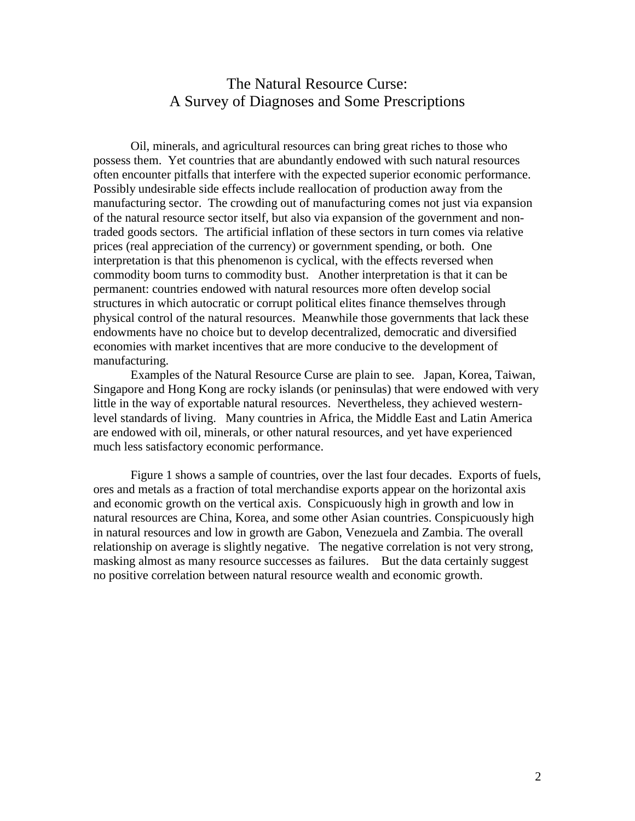# The Natural Resource Curse: A Survey of Diagnoses and Some Prescriptions

Oil, minerals, and agricultural resources can bring great riches to those who possess them. Yet countries that are abundantly endowed with such natural resources often encounter pitfalls that interfere with the expected superior economic performance. Possibly undesirable side effects include reallocation of production away from the manufacturing sector. The crowding out of manufacturing comes not just via expansion of the natural resource sector itself, but also via expansion of the government and nontraded goods sectors. The artificial inflation of these sectors in turn comes via relative prices (real appreciation of the currency) or government spending, or both. One interpretation is that this phenomenon is cyclical, with the effects reversed when commodity boom turns to commodity bust. Another interpretation is that it can be permanent: countries endowed with natural resources more often develop social structures in which autocratic or corrupt political elites finance themselves through physical control of the natural resources. Meanwhile those governments that lack these endowments have no choice but to develop decentralized, democratic and diversified economies with market incentives that are more conducive to the development of manufacturing.

Examples of the Natural Resource Curse are plain to see. Japan, Korea, Taiwan, Singapore and Hong Kong are rocky islands (or peninsulas) that were endowed with very little in the way of exportable natural resources. Nevertheless, they achieved westernlevel standards of living. Many countries in Africa, the Middle East and Latin America are endowed with oil, minerals, or other natural resources, and yet have experienced much less satisfactory economic performance.

Figure 1 shows a sample of countries, over the last four decades. Exports of fuels, ores and metals as a fraction of total merchandise exports appear on the horizontal axis and economic growth on the vertical axis. Conspicuously high in growth and low in natural resources are China, Korea, and some other Asian countries. Conspicuously high in natural resources and low in growth are Gabon, Venezuela and Zambia. The overall relationship on average is slightly negative. The negative correlation is not very strong, masking almost as many resource successes as failures. But the data certainly suggest no positive correlation between natural resource wealth and economic growth.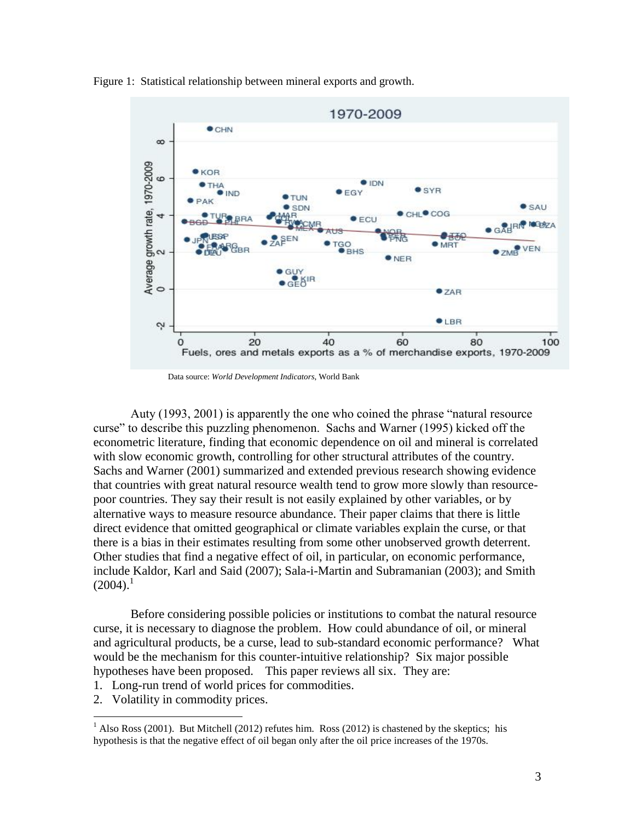Figure 1: Statistical relationship between mineral exports and growth.



Data source: *World Development Indicators*, World Bank

Auty (1993, 2001) is apparently the one who coined the phrase "natural resource curse" to describe this puzzling phenomenon. Sachs and Warner (1995) kicked off the econometric literature, finding that economic dependence on oil and mineral is correlated with slow economic growth, controlling for other structural attributes of the country. Sachs and Warner (2001) summarized and extended previous research showing evidence that countries with great natural resource wealth tend to grow more slowly than resourcepoor countries. They say their result is not easily explained by other variables, or by alternative ways to measure resource abundance. Their paper claims that there is little direct evidence that omitted geographical or climate variables explain the curse, or that there is a bias in their estimates resulting from some other unobserved growth deterrent. Other studies that find a negative effect of oil, in particular, on economic performance, include Kaldor, Karl and Said (2007); Sala-i-Martin and Subramanian (2003); and Smith  $(2004).<sup>1</sup>$ 

Before considering possible policies or institutions to combat the natural resource curse, it is necessary to diagnose the problem. How could abundance of oil, or mineral and agricultural products, be a curse, lead to sub-standard economic performance? What would be the mechanism for this counter-intuitive relationship? Six major possible hypotheses have been proposed. This paper reviews all six. They are:

- 1. Long-run trend of world prices for commodities.
- 2. Volatility in commodity prices.

 $1$  Also Ross (2001). But Mitchell (2012) refutes him. Ross (2012) is chastened by the skeptics; his hypothesis is that the negative effect of oil began only after the oil price increases of the 1970s.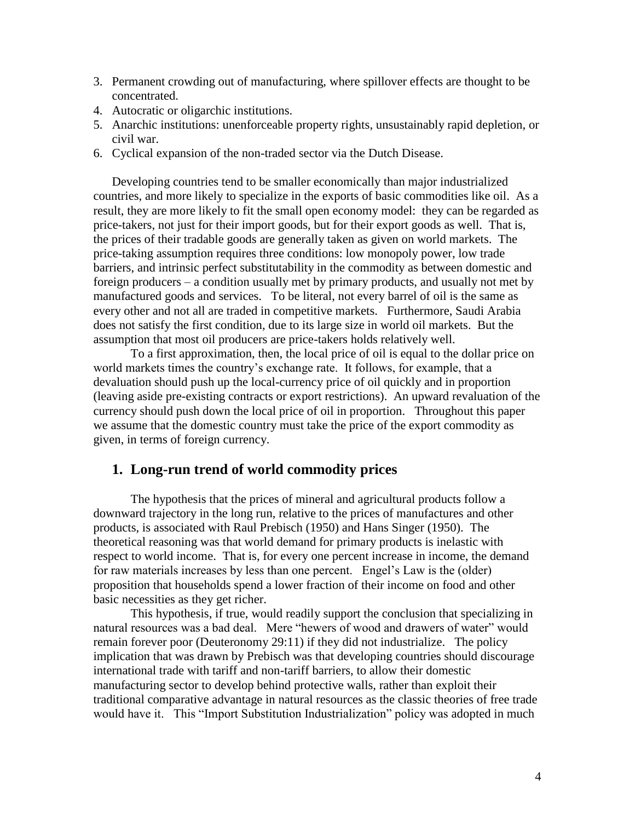- 3. Permanent crowding out of manufacturing, where spillover effects are thought to be concentrated.
- 4. Autocratic or oligarchic institutions.
- 5. Anarchic institutions: unenforceable property rights, unsustainably rapid depletion, or civil war.
- 6. Cyclical expansion of the non-traded sector via the Dutch Disease.

Developing countries tend to be smaller economically than major industrialized countries, and more likely to specialize in the exports of basic commodities like oil. As a result, they are more likely to fit the small open economy model: they can be regarded as price-takers, not just for their import goods, but for their export goods as well. That is, the prices of their tradable goods are generally taken as given on world markets. The price-taking assumption requires three conditions: low monopoly power, low trade barriers, and intrinsic perfect substitutability in the commodity as between domestic and foreign producers – a condition usually met by primary products, and usually not met by manufactured goods and services. To be literal, not every barrel of oil is the same as every other and not all are traded in competitive markets. Furthermore, Saudi Arabia does not satisfy the first condition, due to its large size in world oil markets. But the assumption that most oil producers are price-takers holds relatively well.

To a first approximation, then, the local price of oil is equal to the dollar price on world markets times the country"s exchange rate. It follows, for example, that a devaluation should push up the local-currency price of oil quickly and in proportion (leaving aside pre-existing contracts or export restrictions). An upward revaluation of the currency should push down the local price of oil in proportion. Throughout this paper we assume that the domestic country must take the price of the export commodity as given, in terms of foreign currency.

## **1. Long-run trend of world commodity prices**

The hypothesis that the prices of mineral and agricultural products follow a downward trajectory in the long run, relative to the prices of manufactures and other products, is associated with Raul Prebisch (1950) and Hans Singer (1950). The theoretical reasoning was that world demand for primary products is inelastic with respect to world income. That is, for every one percent increase in income, the demand for raw materials increases by less than one percent. Engel"s Law is the (older) proposition that households spend a lower fraction of their income on food and other basic necessities as they get richer.

This hypothesis, if true, would readily support the conclusion that specializing in natural resources was a bad deal. Mere "hewers of wood and drawers of water" would remain forever poor (Deuteronomy 29:11) if they did not industrialize. The policy implication that was drawn by Prebisch was that developing countries should discourage international trade with tariff and non-tariff barriers, to allow their domestic manufacturing sector to develop behind protective walls, rather than exploit their traditional comparative advantage in natural resources as the classic theories of free trade would have it. This "Import Substitution Industrialization" policy was adopted in much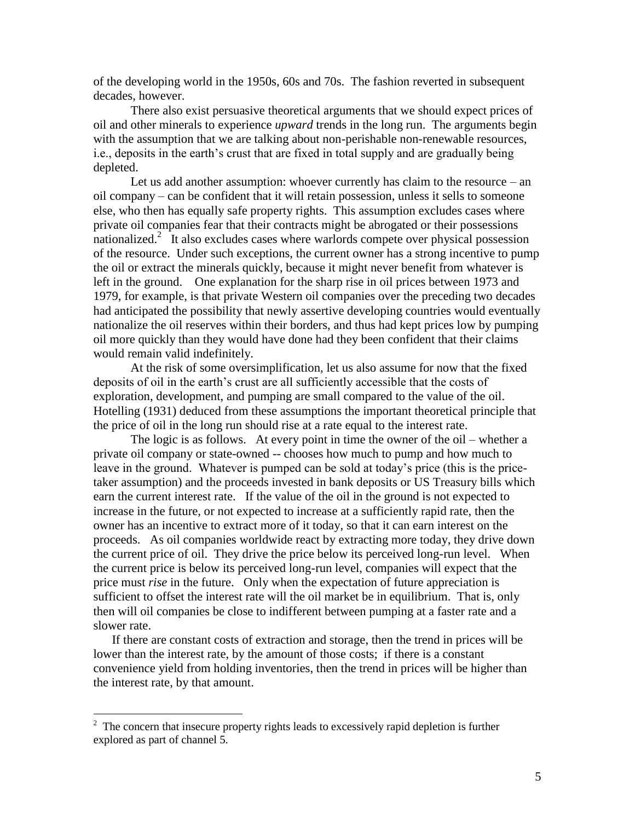of the developing world in the 1950s, 60s and 70s. The fashion reverted in subsequent decades, however.

There also exist persuasive theoretical arguments that we should expect prices of oil and other minerals to experience *upward* trends in the long run. The arguments begin with the assumption that we are talking about non-perishable non-renewable resources, i.e., deposits in the earth's crust that are fixed in total supply and are gradually being depleted.

Let us add another assumption: whoever currently has claim to the resource – an oil company – can be confident that it will retain possession, unless it sells to someone else, who then has equally safe property rights. This assumption excludes cases where private oil companies fear that their contracts might be abrogated or their possessions nationalized.<sup>2</sup> It also excludes cases where warlords compete over physical possession of the resource. Under such exceptions, the current owner has a strong incentive to pump the oil or extract the minerals quickly, because it might never benefit from whatever is left in the ground. One explanation for the sharp rise in oil prices between 1973 and 1979, for example, is that private Western oil companies over the preceding two decades had anticipated the possibility that newly assertive developing countries would eventually nationalize the oil reserves within their borders, and thus had kept prices low by pumping oil more quickly than they would have done had they been confident that their claims would remain valid indefinitely.

At the risk of some oversimplification, let us also assume for now that the fixed deposits of oil in the earth"s crust are all sufficiently accessible that the costs of exploration, development, and pumping are small compared to the value of the oil. Hotelling (1931) deduced from these assumptions the important theoretical principle that the price of oil in the long run should rise at a rate equal to the interest rate.

The logic is as follows. At every point in time the owner of the oil – whether a private oil company or state-owned -- chooses how much to pump and how much to leave in the ground. Whatever is pumped can be sold at today"s price (this is the pricetaker assumption) and the proceeds invested in bank deposits or US Treasury bills which earn the current interest rate. If the value of the oil in the ground is not expected to increase in the future, or not expected to increase at a sufficiently rapid rate, then the owner has an incentive to extract more of it today, so that it can earn interest on the proceeds. As oil companies worldwide react by extracting more today, they drive down the current price of oil. They drive the price below its perceived long-run level. When the current price is below its perceived long-run level, companies will expect that the price must *rise* in the future. Only when the expectation of future appreciation is sufficient to offset the interest rate will the oil market be in equilibrium. That is, only then will oil companies be close to indifferent between pumping at a faster rate and a slower rate.

If there are constant costs of extraction and storage, then the trend in prices will be lower than the interest rate, by the amount of those costs; if there is a constant convenience yield from holding inventories, then the trend in prices will be higher than the interest rate, by that amount.

<sup>&</sup>lt;sup>2</sup> The concern that insecure property rights leads to excessively rapid depletion is further explored as part of channel 5.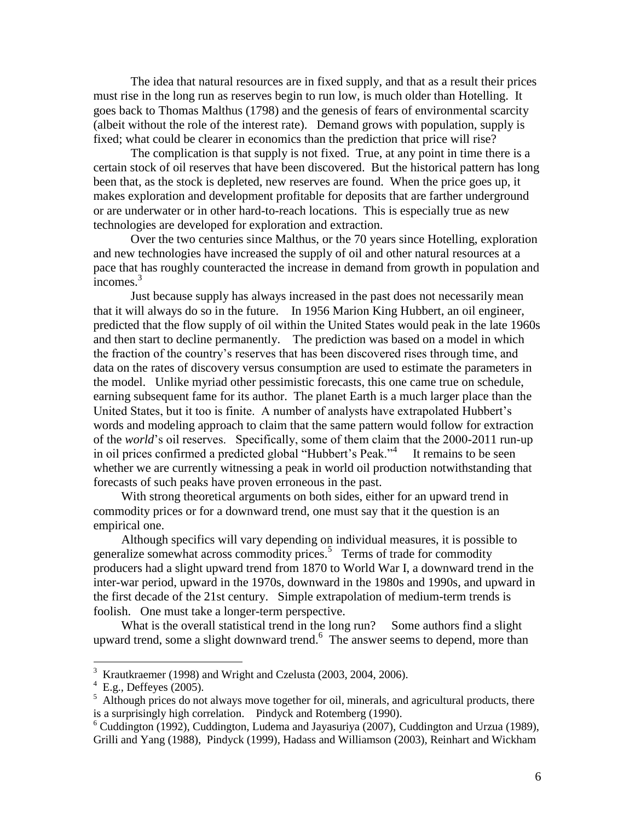The idea that natural resources are in fixed supply, and that as a result their prices must rise in the long run as reserves begin to run low, is much older than Hotelling. It goes back to Thomas Malthus (1798) and the genesis of fears of environmental scarcity (albeit without the role of the interest rate). Demand grows with population, supply is fixed; what could be clearer in economics than the prediction that price will rise?

The complication is that supply is not fixed. True, at any point in time there is a certain stock of oil reserves that have been discovered. But the historical pattern has long been that, as the stock is depleted, new reserves are found. When the price goes up, it makes exploration and development profitable for deposits that are farther underground or are underwater or in other hard-to-reach locations. This is especially true as new technologies are developed for exploration and extraction.

Over the two centuries since Malthus, or the 70 years since Hotelling, exploration and new technologies have increased the supply of oil and other natural resources at a pace that has roughly counteracted the increase in demand from growth in population and incomes. $3$ 

Just because supply has always increased in the past does not necessarily mean that it will always do so in the future. In 1956 Marion King Hubbert, an oil engineer, predicted that the flow supply of oil within the United States would peak in the late 1960s and then start to decline permanently. The prediction was based on a model in which the fraction of the country"s reserves that has been discovered rises through time, and data on the rates of discovery versus consumption are used to estimate the parameters in the model. Unlike myriad other pessimistic forecasts, this one came true on schedule, earning subsequent fame for its author. The planet Earth is a much larger place than the United States, but it too is finite. A number of analysts have extrapolated Hubbert"s words and modeling approach to claim that the same pattern would follow for extraction of the *world*"s oil reserves. Specifically, some of them claim that the 2000-2011 run-up in oil prices confirmed a predicted global "Hubbert's Peak."<sup>4</sup> It remains to be seen whether we are currently witnessing a peak in world oil production notwithstanding that forecasts of such peaks have proven erroneous in the past.

With strong theoretical arguments on both sides, either for an upward trend in commodity prices or for a downward trend, one must say that it the question is an empirical one.

Although specifics will vary depending on individual measures, it is possible to generalize somewhat across commodity prices.<sup>5</sup> Terms of trade for commodity producers had a slight upward trend from 1870 to World War I, a downward trend in the inter-war period, upward in the 1970s, downward in the 1980s and 1990s, and upward in the first decade of the 21st century. Simple extrapolation of medium-term trends is foolish. One must take a longer-term perspective.

What is the overall statistical trend in the long run? Some authors find a slight upward trend, some a slight downward trend.<sup>6</sup> The answer seems to depend, more than

 $3$  Krautkraemer (1998) and Wright and Czelusta (2003, 2004, 2006).

 $4$  E.g., Deffeyes (2005).

<sup>&</sup>lt;sup>5</sup> Although prices do not always move together for oil, minerals, and agricultural products, there is a surprisingly high correlation. Pindyck and Rotemberg (1990).

<sup>6</sup> Cuddington (1992), Cuddington, Ludema and Jayasuriya (2007), Cuddington and Urzua (1989), Grilli and Yang (1988), Pindyck (1999), Hadass and Williamson (2003), Reinhart and Wickham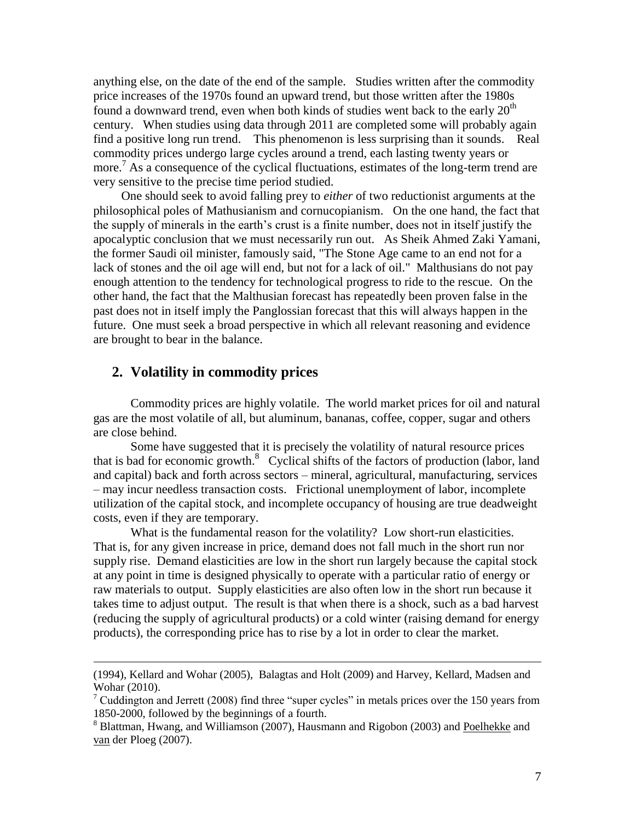anything else, on the date of the end of the sample. Studies written after the commodity price increases of the 1970s found an upward trend, but those written after the 1980s found a downward trend, even when both kinds of studies went back to the early  $20<sup>th</sup>$ century. When studies using data through 2011 are completed some will probably again find a positive long run trend. This phenomenon is less surprising than it sounds. Real commodity prices undergo large cycles around a trend, each lasting twenty years or more.<sup>7</sup> As a consequence of the cyclical fluctuations, estimates of the long-term trend are very sensitive to the precise time period studied.

One should seek to avoid falling prey to *either* of two reductionist arguments at the philosophical poles of Mathusianism and cornucopianism. On the one hand, the fact that the supply of minerals in the earth"s crust is a finite number, does not in itself justify the apocalyptic conclusion that we must necessarily run out. As Sheik Ahmed Zaki Yamani, the former Saudi oil minister, famously said, "The Stone Age came to an end not for a lack of stones and the oil age will end, but not for a lack of oil." Malthusians do not pay enough attention to the tendency for technological progress to ride to the rescue. On the other hand, the fact that the Malthusian forecast has repeatedly been proven false in the past does not in itself imply the Panglossian forecast that this will always happen in the future. One must seek a broad perspective in which all relevant reasoning and evidence are brought to bear in the balance.

## **2. Volatility in commodity prices**

 $\overline{a}$ 

Commodity prices are highly volatile. The world market prices for oil and natural gas are the most volatile of all, but aluminum, bananas, coffee, copper, sugar and others are close behind.

Some have suggested that it is precisely the volatility of natural resource prices that is bad for economic growth.<sup>8</sup> Cyclical shifts of the factors of production (labor, land and capital) back and forth across sectors – mineral, agricultural, manufacturing, services – may incur needless transaction costs. Frictional unemployment of labor, incomplete utilization of the capital stock, and incomplete occupancy of housing are true deadweight costs, even if they are temporary.

What is the fundamental reason for the volatility? Low short-run elasticities. That is, for any given increase in price, demand does not fall much in the short run nor supply rise. Demand elasticities are low in the short run largely because the capital stock at any point in time is designed physically to operate with a particular ratio of energy or raw materials to output. Supply elasticities are also often low in the short run because it takes time to adjust output. The result is that when there is a shock, such as a bad harvest (reducing the supply of agricultural products) or a cold winter (raising demand for energy products), the corresponding price has to rise by a lot in order to clear the market.

<sup>(1994),</sup> Kellard and Wohar (2005), Balagtas and Holt (2009) and Harvey, Kellard, Madsen and Wohar (2010).

 $\frac{7}{1}$  Cuddington and Jerrett (2008) find three "super cycles" in metals prices over the 150 years from 1850-2000, followed by the beginnings of a fourth.

<sup>&</sup>lt;sup>8</sup> [Blattman, Hwang, and Williamson \(2007\), Hausmann and Rigobon \(2003\) and Poelhekke](http://www.cepr.org/researchers/details/rschcontact.asp?IDENT=167187) and [van](http://www.cepr.org/researchers/details/rschcontact.asp?IDENT=100358) der Ploeg (2007).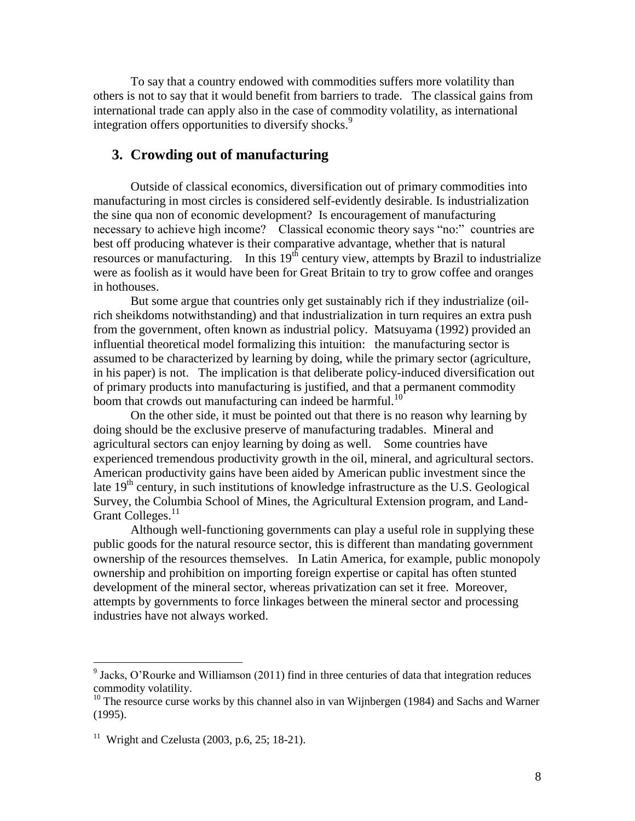To say that a country endowed with commodities suffers more volatility than others is not to say that it would benefit from barriers to trade. The classical gains from international trade can apply also in the case of commodity volatility, as international integration offers opportunities to diversify shocks.<sup>9</sup>

## **3. Crowding out of manufacturing**

Outside of classical economics, diversification out of primary commodities into manufacturing in most circles is considered self-evidently desirable. Is industrialization the sine qua non of economic development? Is encouragement of manufacturing necessary to achieve high income? Classical economic theory says "no:" countries are best off producing whatever is their comparative advantage, whether that is natural resources or manufacturing. In this  $19<sup>th</sup>$  century view, attempts by Brazil to industrialize were as foolish as it would have been for Great Britain to try to grow coffee and oranges in hothouses.

But some argue that countries only get sustainably rich if they industrialize (oilrich sheikdoms notwithstanding) and that industrialization in turn requires an extra push from the government, often known as industrial policy. Matsuyama (1992) provided an influential theoretical model formalizing this intuition: the manufacturing sector is assumed to be characterized by learning by doing, while the primary sector (agriculture, in his paper) is not. The implication is that deliberate policy-induced diversification out of primary products into manufacturing is justified, and that a permanent commodity boom that crowds out manufacturing can indeed be harmful.<sup>10</sup>

On the other side, it must be pointed out that there is no reason why learning by doing should be the exclusive preserve of manufacturing tradables. Mineral and agricultural sectors can enjoy learning by doing as well. Some countries have experienced tremendous productivity growth in the oil, mineral, and agricultural sectors. American productivity gains have been aided by American public investment since the late  $19<sup>th</sup>$  century, in such institutions of knowledge infrastructure as the U.S. Geological Survey, the Columbia School of Mines, the Agricultural Extension program, and Land-Grant Colleges.<sup>11</sup>

Although well-functioning governments can play a useful role in supplying these public goods for the natural resource sector, this is different than mandating government ownership of the resources themselves. In Latin America, for example, public monopoly ownership and prohibition on importing foreign expertise or capital has often stunted development of the mineral sector, whereas privatization can set it free. Moreover, attempts by governments to force linkages between the mineral sector and processing industries have not always worked.

<sup>&</sup>lt;sup>9</sup> Jacks, O'Rourke and Williamson (2011) find in three centuries of data that integration reduces commodity volatility.

<sup>&</sup>lt;sup>10</sup> The resource curse works by this channel also in van Wijnbergen (1984) and Sachs and Warner (1995).

<sup>&</sup>lt;sup>11</sup> Wright and Czelusta (2003, p.6, 25; 18-21).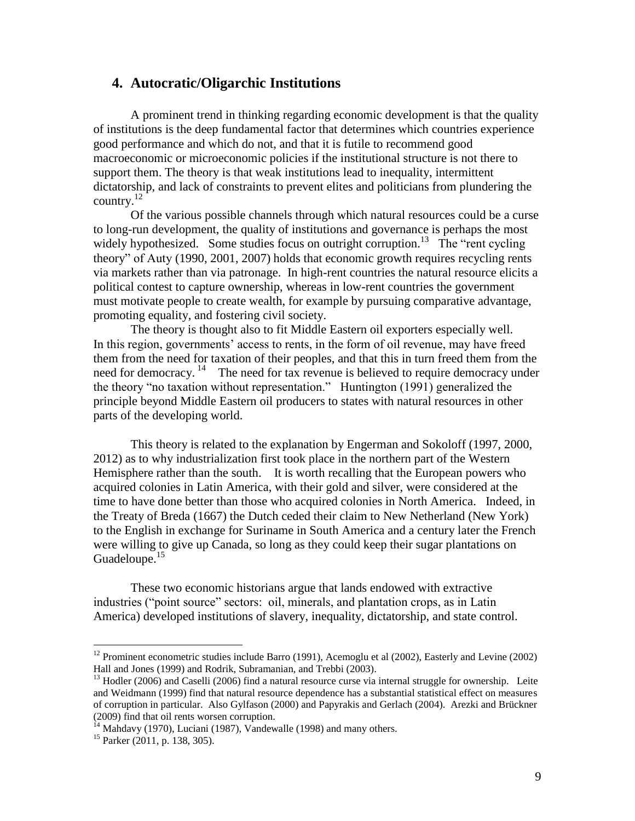### **4. Autocratic/Oligarchic Institutions**

A prominent trend in thinking regarding economic development is that the quality of institutions is the deep fundamental factor that determines which countries experience good performance and which do not, and that it is futile to recommend good macroeconomic or microeconomic policies if the institutional structure is not there to support them. The theory is that weak institutions lead to inequality, intermittent dictatorship, and lack of constraints to prevent elites and politicians from plundering the country. $^{12}$ 

Of the various possible channels through which natural resources could be a curse to long-run development, the quality of institutions and governance is perhaps the most widely hypothesized. Some studies focus on outright corruption.<sup>13</sup> The "rent cycling" theory" of Auty (1990, 2001, 2007) holds that economic growth requires recycling rents via markets rather than via patronage. In high-rent countries the natural resource elicits a political contest to capture ownership, whereas in low-rent countries the government must motivate people to create wealth, for example by pursuing comparative advantage, promoting equality, and fostering civil society.

The theory is thought also to fit Middle Eastern oil exporters especially well. In this region, governments' access to rents, in the form of oil revenue, may have freed them from the need for taxation of their peoples, and that this in turn freed them from the need for democracy.<sup>14</sup> The need for tax revenue is believed to require democracy under the theory "no taxation without representation." Huntington (1991) generalized the principle beyond Middle Eastern oil producers to states with natural resources in other parts of the developing world.

This theory is related to the explanation by Engerman and Sokoloff (1997, 2000, 2012) as to why industrialization first took place in the northern part of the Western Hemisphere rather than the south. It is worth recalling that the European powers who acquired colonies in Latin America, with their gold and silver, were considered at the time to have done better than those who acquired colonies in North America. Indeed, in the Treaty of Breda (1667) the Dutch ceded their claim to New Netherland (New York) to the English in exchange for Suriname in South America and a century later the French were willing to give up Canada, so long as they could keep their sugar plantations on Guadeloupe.<sup>15</sup>

These two economic historians argue that lands endowed with extractive industries ("point source" sectors: oil, minerals, and plantation crops, as in Latin America) developed institutions of slavery, inequality, dictatorship, and state control.

<sup>&</sup>lt;sup>12</sup> Prominent econometric studies include Barro (1991), Acemoglu et al (2002), Easterly and Levine (2002) Hall and Jones (1999) and Rodrik, Subramanian, and Trebbi (2003).

<sup>&</sup>lt;sup>13</sup> Hodler (2006) and Caselli (2006) find a natural resource curse via internal struggle for ownership. Leite and Weidmann (1999) find that natural resource dependence has a substantial statistical effect on measures of corruption in particular. Also Gylfason (2000) and Papyrakis and Gerlach (2004). Arezki and Brückner (2009) find that oil rents worsen corruption.

 $14$  Mahdavy (1970), Luciani (1987), Vandewalle (1998) and many others.

 $15$  Parker (2011, p. 138, 305).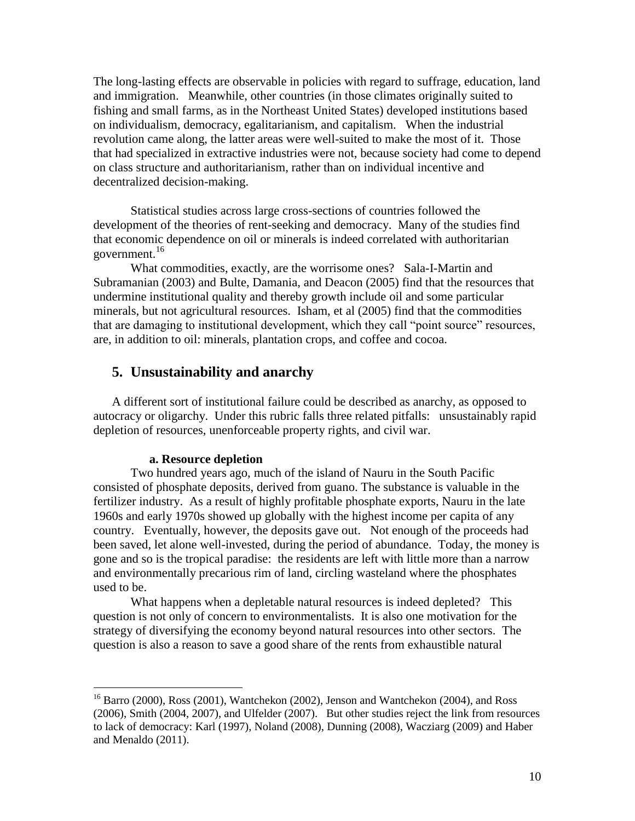The long-lasting effects are observable in policies with regard to suffrage, education, land and immigration. Meanwhile, other countries (in those climates originally suited to fishing and small farms, as in the Northeast United States) developed institutions based on individualism, democracy, egalitarianism, and capitalism. When the industrial revolution came along, the latter areas were well-suited to make the most of it. Those that had specialized in extractive industries were not, because society had come to depend on class structure and authoritarianism, rather than on individual incentive and decentralized decision-making.

Statistical studies across large cross-sections of countries followed the development of the theories of rent-seeking and democracy. Many of the studies find that economic dependence on oil or minerals is indeed correlated with authoritarian government.<sup>16</sup>

What commodities, exactly, are the worrisome ones? Sala-I-Martin and Subramanian (2003) and Bulte, Damania, and Deacon (2005) find that the resources that undermine institutional quality and thereby growth include oil and some particular minerals, but not agricultural resources. Isham, et al (2005) find that the commodities that are damaging to institutional development, which they call "point source" resources, are, in addition to oil: minerals, plantation crops, and coffee and cocoa.

## **5. Unsustainability and anarchy**

A different sort of institutional failure could be described as anarchy, as opposed to autocracy or oligarchy. Under this rubric falls three related pitfalls: unsustainably rapid depletion of resources, unenforceable property rights, and civil war.

#### **a. Resource depletion**

 $\overline{a}$ 

Two hundred years ago, much of the island of Nauru in the South Pacific consisted of phosphate deposits, derived from guano. The substance is valuable in the fertilizer industry. As a result of highly profitable phosphate exports, Nauru in the late 1960s and early 1970s showed up globally with the highest income per capita of any country. Eventually, however, the deposits gave out. Not enough of the proceeds had been saved, let alone well-invested, during the period of abundance. Today, the money is gone and so is the tropical paradise: the residents are left with little more than a narrow and environmentally precarious rim of land, circling wasteland where the phosphates used to be.

What happens when a depletable natural resources is indeed depleted? This question is not only of concern to environmentalists. It is also one motivation for the strategy of diversifying the economy beyond natural resources into other sectors. The question is also a reason to save a good share of the rents from exhaustible natural

 $^{16}$  Barro (2000), Ross (2001), Wantchekon (2002), Jenson and Wantchekon (2004), and Ross (2006), Smith (2004, 2007), and Ulfelder (2007). But other studies reject the link from resources to lack of democracy: Karl (1997), Noland (2008), Dunning (2008), Wacziarg (2009) and Haber and Menaldo (2011).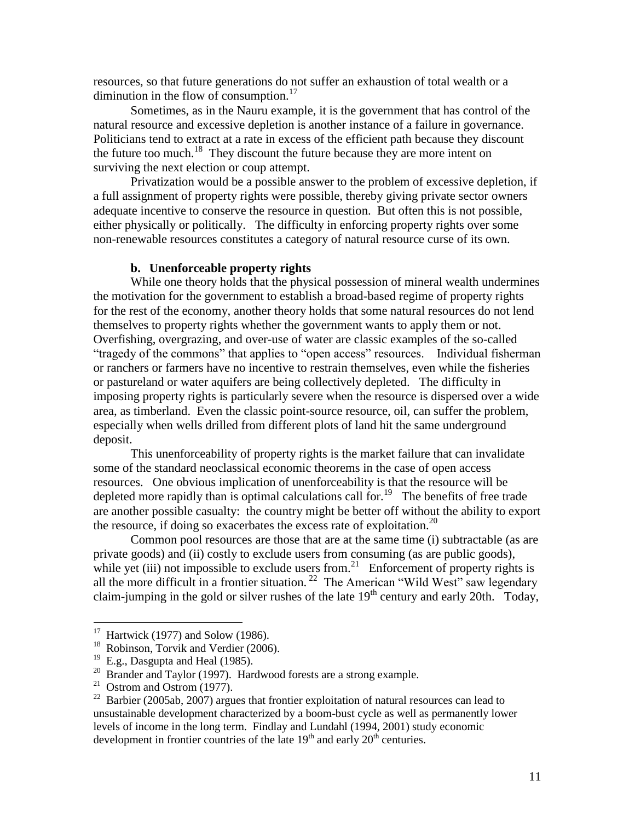resources, so that future generations do not suffer an exhaustion of total wealth or a diminution in the flow of consumption.<sup>17</sup>

Sometimes, as in the Nauru example, it is the government that has control of the natural resource and excessive depletion is another instance of a failure in governance. Politicians tend to extract at a rate in excess of the efficient path because they discount the future too much.<sup>18</sup> They discount the future because they are more intent on surviving the next election or coup attempt.

Privatization would be a possible answer to the problem of excessive depletion, if a full assignment of property rights were possible, thereby giving private sector owners adequate incentive to conserve the resource in question. But often this is not possible, either physically or politically. The difficulty in enforcing property rights over some non-renewable resources constitutes a category of natural resource curse of its own.

#### **b. Unenforceable property rights**

While one theory holds that the physical possession of mineral wealth undermines the motivation for the government to establish a broad-based regime of property rights for the rest of the economy, another theory holds that some natural resources do not lend themselves to property rights whether the government wants to apply them or not. Overfishing, overgrazing, and over-use of water are classic examples of the so-called "tragedy of the commons" that applies to "open access" resources. Individual fisherman or ranchers or farmers have no incentive to restrain themselves, even while the fisheries or pastureland or water aquifers are being collectively depleted. The difficulty in imposing property rights is particularly severe when the resource is dispersed over a wide area, as timberland. Even the classic point-source resource, oil, can suffer the problem, especially when wells drilled from different plots of land hit the same underground deposit.

This unenforceability of property rights is the market failure that can invalidate some of the standard neoclassical economic theorems in the case of open access resources. One obvious implication of unenforceability is that the resource will be depleted more rapidly than is optimal calculations call for.<sup>19</sup> The benefits of free trade are another possible casualty: the country might be better off without the ability to export the resource, if doing so exacerbates the excess rate of exploitation.<sup>20</sup>

Common pool resources are those that are at the same time (i) subtractable (as are private goods) and (ii) costly to exclude users from consuming (as are public goods), while yet (iii) not impossible to exclude users from.<sup>21</sup> Enforcement of property rights is all the more difficult in a frontier situation.<sup>22</sup> The American "Wild West" saw legendary claim-jumping in the gold or silver rushes of the late  $19<sup>th</sup>$  century and early 20th. Today,

<sup>&</sup>lt;sup>17</sup> Hartwick (1977) and Solow (1986).

<sup>&</sup>lt;sup>18</sup> Robinson, Torvik and Verdier (2006).

 $^{19}$  E.g., Dasgupta and Heal (1985).

 $20$  Brander and Taylor (1997). Hardwood forests are a strong example.

 $21$  Ostrom and Ostrom (1977).

 $22$  Barbier (2005ab, 2007) argues that frontier exploitation of natural resources can lead to unsustainable development characterized by a boom-bust cycle as well as permanently lower levels of income in the long term. Findlay and Lundahl (1994, 2001) study economic development in frontier countries of the late  $19<sup>th</sup>$  and early  $20<sup>th</sup>$  centuries.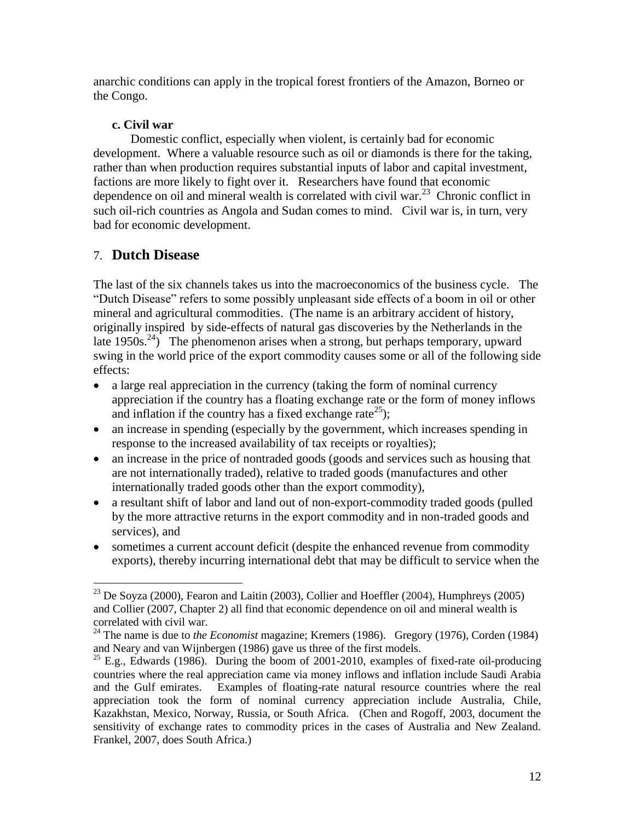anarchic conditions can apply in the tropical forest frontiers of the Amazon, Borneo or the Congo.

## **c. Civil war**

Domestic conflict, especially when violent, is certainly bad for economic development. Where a valuable resource such as oil or diamonds is there for the taking, rather than when production requires substantial inputs of labor and capital investment, factions are more likely to fight over it. Researchers have found that economic dependence on oil and mineral wealth is correlated with civil war.<sup>23</sup> Chronic conflict in such oil-rich countries as Angola and Sudan comes to mind. Civil war is, in turn, very bad for economic development.

# 7. **Dutch Disease**

The last of the six channels takes us into the macroeconomics of the business cycle. The "Dutch Disease" refers to some possibly unpleasant side effects of a boom in oil or other mineral and agricultural commodities. (The name is an arbitrary accident of history, originally inspired by side-effects of natural gas discoveries by the Netherlands in the late 1950s.<sup>24</sup>) The phenomenon arises when a strong, but perhaps temporary, upward swing in the world price of the export commodity causes some or all of the following side effects:

- a large real appreciation in the currency (taking the form of nominal currency appreciation if the country has a floating exchange rate or the form of money inflows and inflation if the country has a fixed exchange rate<sup>25</sup>);
- an increase in spending (especially by the government, which increases spending in response to the increased availability of tax receipts or royalties);
- an increase in the price of nontraded goods (goods and services such as housing that are not internationally traded), relative to traded goods (manufactures and other internationally traded goods other than the export commodity),
- a resultant shift of labor and land out of non-export-commodity traded goods (pulled by the more attractive returns in the export commodity and in non-traded goods and services), and
- sometimes a current account deficit (despite the enhanced revenue from commodity exports), thereby incurring international debt that may be difficult to service when the

 $\overline{a}$ <sup>23</sup> De Soyza (2000), Fearon and Laitin (2003), Collier and Hoeffler (2004), Humphreys (2005) and Collier (2007, Chapter 2) all find that economic dependence on oil and mineral wealth is correlated with civil war.

<sup>24</sup> The name is due to *the Economist* magazine; Kremers (1986). Gregory (1976), Corden (1984) and Neary and van Wijnbergen (1986) gave us three of the first models.

 $^{25}$  E.g., Edwards (1986). During the boom of 2001-2010, examples of fixed-rate oil-producing countries where the real appreciation came via money inflows and inflation include Saudi Arabia and the Gulf emirates. Examples of floating-rate natural resource countries where the real appreciation took the form of nominal currency appreciation include Australia, Chile, Kazakhstan, Mexico, Norway, Russia, or South Africa. (Chen and Rogoff, 2003, document the sensitivity of exchange rates to commodity prices in the cases of Australia and New Zealand. Frankel, 2007, does South Africa.)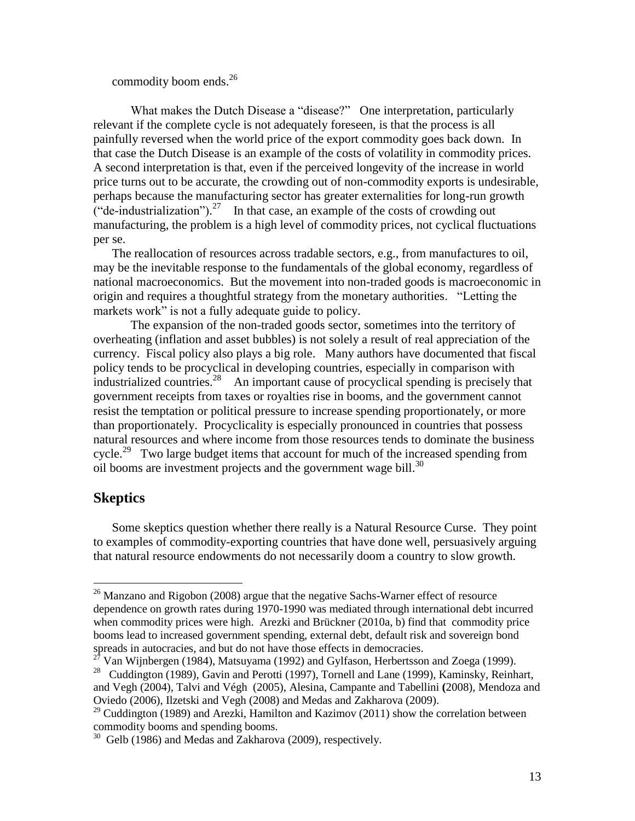commodity boom ends.<sup>26</sup>

What makes the Dutch Disease a "disease?" One interpretation, particularly relevant if the complete cycle is not adequately foreseen, is that the process is all painfully reversed when the world price of the export commodity goes back down. In that case the Dutch Disease is an example of the costs of volatility in commodity prices. A second interpretation is that, even if the perceived longevity of the increase in world price turns out to be accurate, the crowding out of non-commodity exports is undesirable, perhaps because the manufacturing sector has greater externalities for long-run growth ("de-industrialization").<sup>27</sup> In that case, an example of the costs of crowding out manufacturing, the problem is a high level of commodity prices, not cyclical fluctuations per se.

The reallocation of resources across tradable sectors, e.g., from manufactures to oil, may be the inevitable response to the fundamentals of the global economy, regardless of national macroeconomics. But the movement into non-traded goods is macroeconomic in origin and requires a thoughtful strategy from the monetary authorities. "Letting the markets work" is not a fully adequate guide to policy.

The expansion of the non-traded goods sector, sometimes into the territory of overheating (inflation and asset bubbles) is not solely a result of real appreciation of the currency. Fiscal policy also plays a big role. Many authors have documented that fiscal policy tends to be procyclical in developing countries, especially in comparison with industrialized countries.<sup>28</sup> An important cause of procyclical spending is precisely that government receipts from taxes or royalties rise in booms, and the government cannot resist the temptation or political pressure to increase spending proportionately, or more than proportionately. Procyclicality is especially pronounced in countries that possess natural resources and where income from those resources tends to dominate the business cycle.<sup>29</sup> Two large budget items that account for much of the increased spending from  $\frac{1}{2}$  booms are investment projects and the government wage bill.<sup>30</sup>

## **Skeptics**

 $\overline{a}$ 

Some skeptics question whether there really is a Natural Resource Curse. They point to examples of commodity-exporting countries that have done well, persuasively arguing that natural resource endowments do not necessarily doom a country to slow growth.

 $26$  Manzano and Rigobon (2008) argue that the negative Sachs-Warner effect of resource dependence on growth rates during 1970-1990 was mediated through international debt incurred when commodity prices were high. Arezki and Brückner (2010a, b) find that commodity price booms lead to increased government spending, external debt, default risk and sovereign bond spreads in autocracies, and but do not have those effects in democracies.

<sup>&</sup>lt;sup>27</sup> Van Wijnbergen (1984), Matsuyama (1992) and Gylfason, Herbertsson and Zoega (1999).

<sup>&</sup>lt;sup>28</sup> Cuddington (1989), Gavin and Perotti (1997), Tornell and Lane (1999), Kaminsky, Reinhart, and Vegh (2004), Talvi and Végh (2005), Alesina, Campante and Tabellini **(**2008), Mendoza and Oviedo (2006), Ilzetski and Vegh (2008) and Medas and Zakharova (2009).

 $29$  Cuddington (1989) and Arezki, Hamilton and Kazimov (2011) show the correlation between commodity booms and spending booms.

<sup>&</sup>lt;sup>30</sup> Gelb (1986) and Medas and Zakharova (2009), respectively.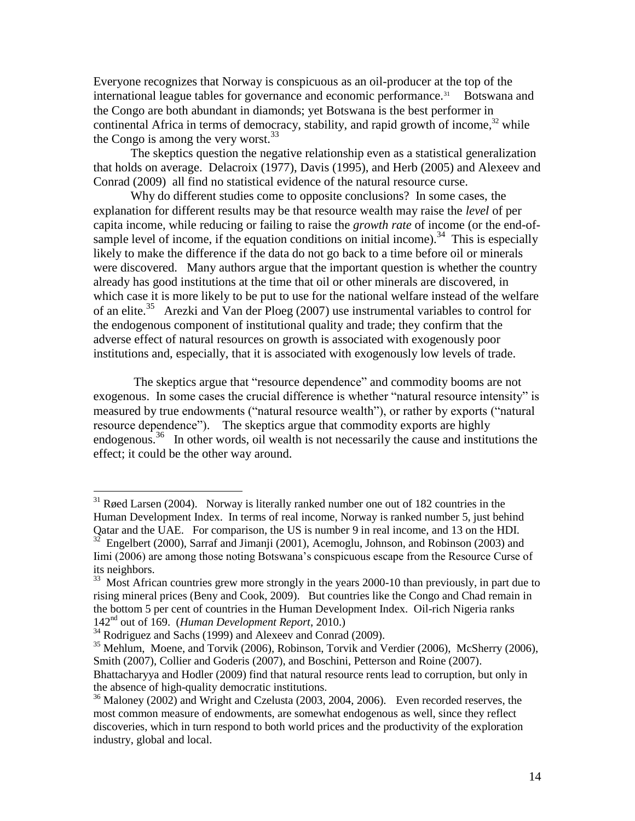Everyone recognizes that Norway is conspicuous as an oil-producer at the top of the international league tables for governance and economic performance.<sup>31</sup> Botswana and the Congo are both abundant in diamonds; yet Botswana is the best performer in continental Africa in terms of democracy, stability, and rapid growth of income,<sup>32</sup> while the Congo is among the very worst.  $33$ 

The skeptics question the negative relationship even as a statistical generalization that holds on average. Delacroix (1977), Davis (1995), and Herb (2005) and Alexeev and Conrad (2009) all find no statistical evidence of the natural resource curse.

Why do different studies come to opposite conclusions? In some cases, the explanation for different results may be that resource wealth may raise the *level* of per capita income, while reducing or failing to raise the *growth rate* of income (or the end-ofsample level of income, if the equation conditions on initial income).<sup>34</sup> This is especially likely to make the difference if the data do not go back to a time before oil or minerals were discovered. Many authors argue that the important question is whether the country already has good institutions at the time that oil or other minerals are discovered, in which case it is more likely to be put to use for the national welfare instead of the welfare of an elite.<sup>35</sup> Arezki and Van der Ploeg (2007) use instrumental variables to control for the endogenous component of institutional quality and trade; they confirm that the adverse effect of natural resources on growth is associated with exogenously poor institutions and, especially, that it is associated with exogenously low levels of trade.

The skeptics argue that "resource dependence" and commodity booms are not exogenous. In some cases the crucial difference is whether "natural resource intensity" is measured by true endowments ("natural resource wealth"), or rather by exports ("natural resource dependence"). The skeptics argue that commodity exports are highly endogenous.<sup>36</sup> In other words, oil wealth is not necessarily the cause and institutions the effect; it could be the other way around.

 $31$  Røed Larsen (2004). Norway is literally ranked number one out of 182 countries in the Human Development Index. In terms of real income, Norway is ranked number 5, just behind Qatar and the UAE. For comparison, the US is number 9 in real income, and 13 on the HDI.<br> $\frac{32}{2}$  Engelbert (2000), Serref and Jimenii (2001), Acemealy, Johnson, and Bohinson (2003) and Engelbert (2000), Sarraf and Jimanji (2001), Acemoglu, Johnson, and Robinson (2003) and Iimi (2006) are among those noting Botswana"s conspicuous escape from the Resource Curse of its neighbors.

<sup>&</sup>lt;sup>33</sup> Most African countries grew more strongly in the years 2000-10 than previously, in part due to rising mineral prices (Beny and Cook, 2009). But countries like the Congo and Chad remain in the bottom 5 per cent of countries in the Human Development Index. Oil-rich Nigeria ranks 142nd out of 169. (*Human Development Report*, 2010.)

 $34$  Rodriguez and Sachs (1999) and Alexeev and Conrad (2009).

<sup>&</sup>lt;sup>35</sup> Mehlum, Moene, and Torvik (2006), Robinson, Torvik and Verdier (2006), McSherry (2006), Smith (2007), Collier and Goderis (2007), and Boschini, Petterson and Roine (2007). Bhattacharyya and Hodler (2009) find that natural resource rents lead to corruption, but only in

the absence of high-quality democratic institutions.

 $36$  Maloney (2002) and Wright and Czelusta (2003, 2004, 2006). Even recorded reserves, the most common measure of endowments, are somewhat endogenous as well, since they reflect discoveries, which in turn respond to both world prices and the productivity of the exploration industry, global and local.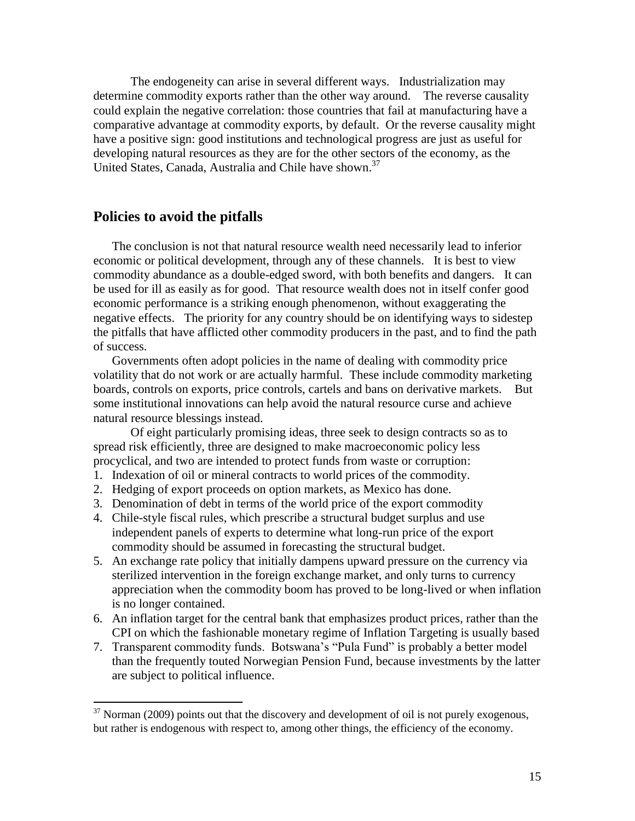The endogeneity can arise in several different ways. Industrialization may determine commodity exports rather than the other way around. The reverse causality could explain the negative correlation: those countries that fail at manufacturing have a comparative advantage at commodity exports, by default. Or the reverse causality might have a positive sign: good institutions and technological progress are just as useful for developing natural resources as they are for the other sectors of the economy, as the United States, Canada, Australia and Chile have shown.<sup>37</sup>

#### **Policies to avoid the pitfalls**

 $\overline{a}$ 

The conclusion is not that natural resource wealth need necessarily lead to inferior economic or political development, through any of these channels. It is best to view commodity abundance as a double-edged sword, with both benefits and dangers. It can be used for ill as easily as for good. That resource wealth does not in itself confer good economic performance is a striking enough phenomenon, without exaggerating the negative effects. The priority for any country should be on identifying ways to sidestep the pitfalls that have afflicted other commodity producers in the past, and to find the path of success.

Governments often adopt policies in the name of dealing with commodity price volatility that do not work or are actually harmful. These include commodity marketing boards, controls on exports, price controls, cartels and bans on derivative markets. But some institutional innovations can help avoid the natural resource curse and achieve natural resource blessings instead.

Of eight particularly promising ideas, three seek to design contracts so as to spread risk efficiently, three are designed to make macroeconomic policy less procyclical, and two are intended to protect funds from waste or corruption:

- 1. Indexation of oil or mineral contracts to world prices of the commodity.
- 2. Hedging of export proceeds on option markets, as Mexico has done.
- 3. Denomination of debt in terms of the world price of the export commodity
- 4. Chile-style fiscal rules, which prescribe a structural budget surplus and use independent panels of experts to determine what long-run price of the export commodity should be assumed in forecasting the structural budget.
- 5. An exchange rate policy that initially dampens upward pressure on the currency via sterilized intervention in the foreign exchange market, and only turns to currency appreciation when the commodity boom has proved to be long-lived or when inflation is no longer contained.
- 6. An inflation target for the central bank that emphasizes product prices, rather than the CPI on which the fashionable monetary regime of Inflation Targeting is usually based
- 7. Transparent commodity funds. Botswana"s "Pula Fund" is probably a better model than the frequently touted Norwegian Pension Fund, because investments by the latter are subject to political influence.

 $37$  Norman (2009) points out that the discovery and development of oil is not purely exogenous, but rather is endogenous with respect to, among other things, the efficiency of the economy.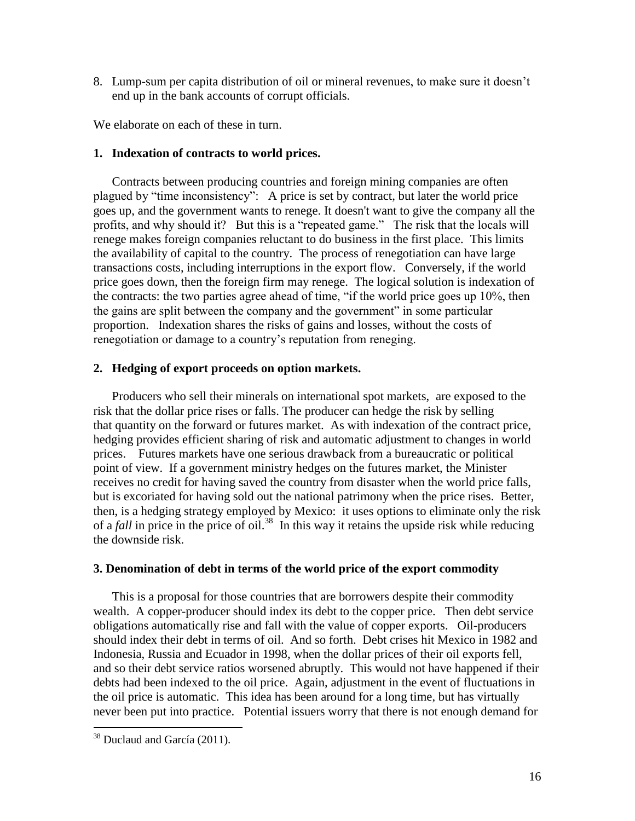8. Lump-sum per capita distribution of oil or mineral revenues, to make sure it doesn"t end up in the bank accounts of corrupt officials.

We elaborate on each of these in turn.

### **1. Indexation of contracts to world prices.**

Contracts between producing countries and foreign mining companies are often plagued by "time inconsistency": A price is set by contract, but later the world price goes up, and the government wants to renege. It doesn't want to give the company all the profits, and why should it? But this is a "repeated game." The risk that the locals will renege makes foreign companies reluctant to do business in the first place. This limits the availability of capital to the country. The process of renegotiation can have large transactions costs, including interruptions in the export flow. Conversely, if the world price goes down, then the foreign firm may renege. The logical solution is indexation of the contracts: the two parties agree ahead of time, "if the world price goes up 10%, then the gains are split between the company and the government" in some particular proportion. Indexation shares the risks of gains and losses, without the costs of renegotiation or damage to a country's reputation from reneging.

### **2. Hedging of export proceeds on option markets.**

Producers who sell their minerals on international spot markets, are exposed to the risk that the dollar price rises or falls. The producer can hedge the risk by selling that quantity on the forward or futures market. As with indexation of the contract price, hedging provides efficient sharing of risk and automatic adjustment to changes in world prices. Futures markets have one serious drawback from a bureaucratic or political point of view. If a government ministry hedges on the futures market, the Minister receives no credit for having saved the country from disaster when the world price falls, but is excoriated for having sold out the national patrimony when the price rises. Better, then, is a hedging strategy employed by Mexico: it uses options to eliminate only the risk of a *fall* in price in the price of oil. 38 In this way it retains the upside risk while reducing the downside risk.

#### **3. Denomination of debt in terms of the world price of the export commodity**

This is a proposal for those countries that are borrowers despite their commodity wealth. A copper-producer should index its debt to the copper price. Then debt service obligations automatically rise and fall with the value of copper exports. Oil-producers should index their debt in terms of oil. And so forth. Debt crises hit Mexico in 1982 and Indonesia, Russia and Ecuador in 1998, when the dollar prices of their oil exports fell, and so their debt service ratios worsened abruptly. This would not have happened if their debts had been indexed to the oil price. Again, adjustment in the event of fluctuations in the oil price is automatic. This idea has been around for a long time, but has virtually never been put into practice. Potential issuers worry that there is not enough demand for

 $38$  Duclaud and García (2011).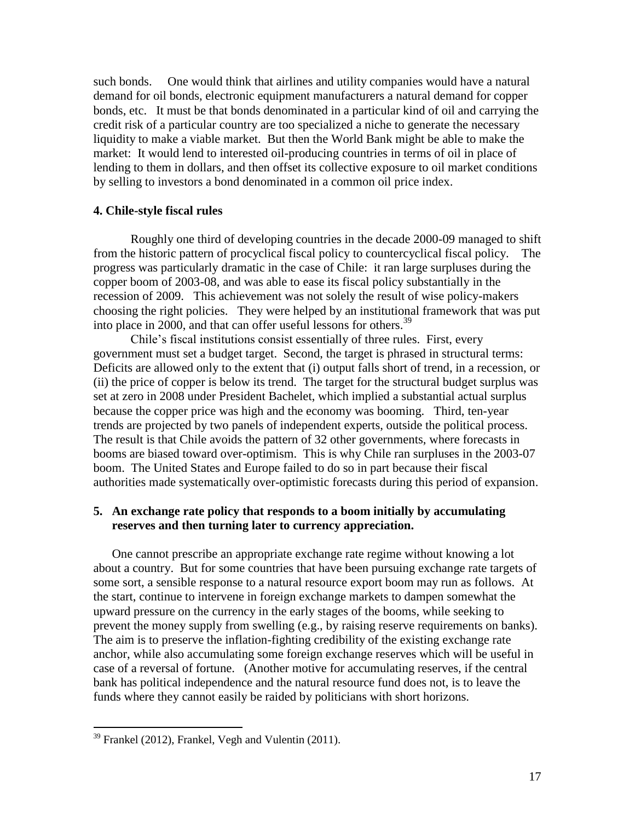such bonds. One would think that airlines and utility companies would have a natural demand for oil bonds, electronic equipment manufacturers a natural demand for copper bonds, etc. It must be that bonds denominated in a particular kind of oil and carrying the credit risk of a particular country are too specialized a niche to generate the necessary liquidity to make a viable market. But then the World Bank might be able to make the market: It would lend to interested oil-producing countries in terms of oil in place of lending to them in dollars, and then offset its collective exposure to oil market conditions by selling to investors a bond denominated in a common oil price index.

#### **4. Chile-style fiscal rules**

Roughly one third of developing countries in the decade 2000-09 managed to shift from the historic pattern of procyclical fiscal policy to countercyclical fiscal policy. The progress was particularly dramatic in the case of Chile: it ran large surpluses during the copper boom of 2003-08, and was able to ease its fiscal policy substantially in the recession of 2009. This achievement was not solely the result of wise policy-makers choosing the right policies. They were helped by an institutional framework that was put into place in 2000, and that can offer useful lessons for others.<sup>39</sup>

Chile"s fiscal institutions consist essentially of three rules. First, every government must set a budget target. Second, the target is phrased in structural terms: Deficits are allowed only to the extent that (i) output falls short of trend, in a recession, or (ii) the price of copper is below its trend. The target for the structural budget surplus was set at zero in 2008 under President Bachelet, which implied a substantial actual surplus because the copper price was high and the economy was booming. Third, ten-year trends are projected by two panels of independent experts, outside the political process. The result is that Chile avoids the pattern of 32 other governments, where forecasts in booms are biased toward over-optimism. This is why Chile ran surpluses in the 2003-07 boom. The United States and Europe failed to do so in part because their fiscal authorities made systematically over-optimistic forecasts during this period of expansion.

#### **5. An exchange rate policy that responds to a boom initially by accumulating reserves and then turning later to currency appreciation.**

One cannot prescribe an appropriate exchange rate regime without knowing a lot about a country. But for some countries that have been pursuing exchange rate targets of some sort, a sensible response to a natural resource export boom may run as follows. At the start, continue to intervene in foreign exchange markets to dampen somewhat the upward pressure on the currency in the early stages of the booms, while seeking to prevent the money supply from swelling (e.g., by raising reserve requirements on banks). The aim is to preserve the inflation-fighting credibility of the existing exchange rate anchor, while also accumulating some foreign exchange reserves which will be useful in case of a reversal of fortune. (Another motive for accumulating reserves, if the central bank has political independence and the natural resource fund does not, is to leave the funds where they cannot easily be raided by politicians with short horizons.

 $39$  Frankel (2012), Frankel, Vegh and Vulentin (2011).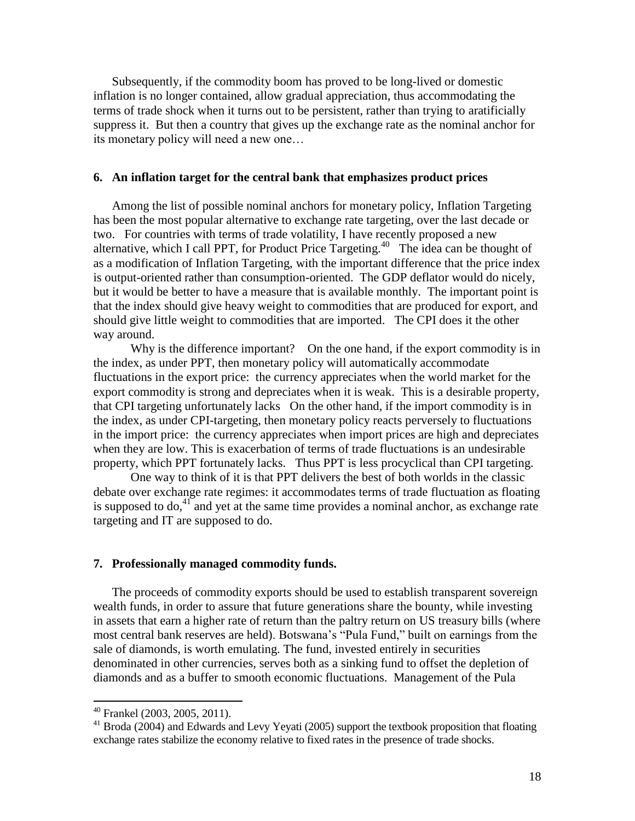Subsequently, if the commodity boom has proved to be long-lived or domestic inflation is no longer contained, allow gradual appreciation, thus accommodating the terms of trade shock when it turns out to be persistent, rather than trying to aratificially suppress it. But then a country that gives up the exchange rate as the nominal anchor for its monetary policy will need a new one…

#### **6. An inflation target for the central bank that emphasizes product prices**

Among the list of possible nominal anchors for monetary policy, Inflation Targeting has been the most popular alternative to exchange rate targeting, over the last decade or two. For countries with terms of trade volatility, I have recently proposed a new alternative, which I call PPT, for Product Price Targeting.<sup>40</sup> The idea can be thought of as a modification of Inflation Targeting, with the important difference that the price index is output-oriented rather than consumption-oriented. The GDP deflator would do nicely, but it would be better to have a measure that is available monthly. The important point is that the index should give heavy weight to commodities that are produced for export, and should give little weight to commodities that are imported. The CPI does it the other way around.

Why is the difference important? On the one hand, if the export commodity is in the index, as under PPT, then monetary policy will automatically accommodate fluctuations in the export price: the currency appreciates when the world market for the export commodity is strong and depreciates when it is weak. This is a desirable property, that CPI targeting unfortunately lacks On the other hand, if the import commodity is in the index, as under CPI-targeting, then monetary policy reacts perversely to fluctuations in the import price: the currency appreciates when import prices are high and depreciates when they are low. This is exacerbation of terms of trade fluctuations is an undesirable property, which PPT fortunately lacks. Thus PPT is less procyclical than CPI targeting.

One way to think of it is that PPT delivers the best of both worlds in the classic debate over exchange rate regimes: it accommodates terms of trade fluctuation as floating is supposed to do,<sup>41</sup> and yet at the same time provides a nominal anchor, as exchange rate targeting and IT are supposed to do.

#### **7. Professionally managed commodity funds.**

The proceeds of commodity exports should be used to establish transparent sovereign wealth funds, in order to assure that future generations share the bounty, while investing in assets that earn a higher rate of return than the paltry return on US treasury bills (where most central bank reserves are held). Botswana"s "Pula Fund," built on earnings from the sale of diamonds, is worth emulating. The fund, invested entirely in securities denominated in other currencies, serves both as a sinking fund to offset the depletion of diamonds and as a buffer to smooth economic fluctuations. Management of the Pula

 $40$  Frankel (2003, 2005, 2011).

 $41$  Broda (2004) and Edwards and Levy Yeyati (2005) support the textbook proposition that floating exchange rates stabilize the economy relative to fixed rates in the presence of trade shocks.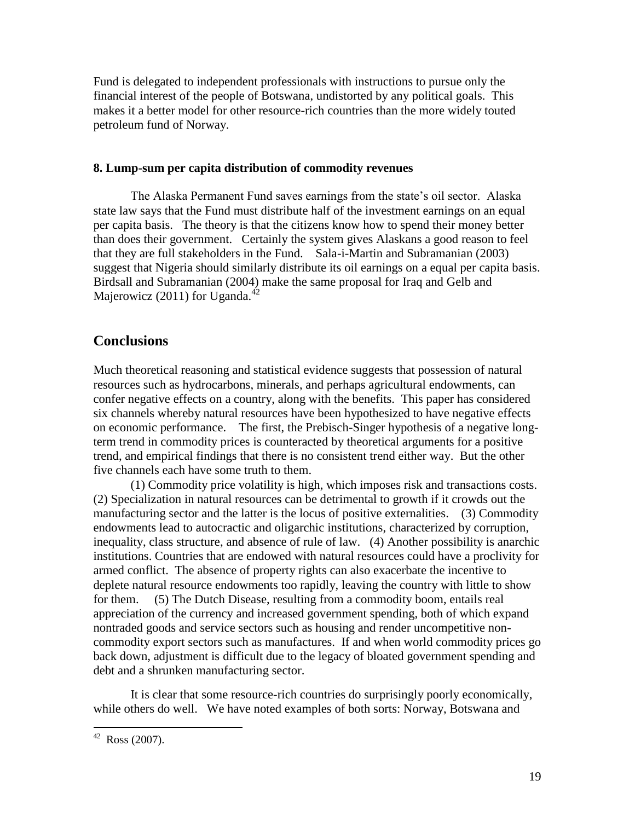Fund is delegated to independent professionals with instructions to pursue only the financial interest of the people of Botswana, undistorted by any political goals. This makes it a better model for other resource-rich countries than the more widely touted petroleum fund of Norway.

#### **8. Lump-sum per capita distribution of commodity revenues**

The Alaska Permanent Fund saves earnings from the state"s oil sector. Alaska state law says that the Fund must distribute half of the investment earnings on an equal per capita basis. The theory is that the citizens know how to spend their money better than does their government. Certainly the system gives Alaskans a good reason to feel that they are full stakeholders in the Fund. Sala-i-Martin and Subramanian (2003) suggest that Nigeria should similarly distribute its oil earnings on a equal per capita basis. Birdsall and Subramanian (2004) make the same proposal for Iraq and Gelb and Majerowicz (2011) for Uganda. $42$ 

## **Conclusions**

Much theoretical reasoning and statistical evidence suggests that possession of natural resources such as hydrocarbons, minerals, and perhaps agricultural endowments, can confer negative effects on a country, along with the benefits. This paper has considered six channels whereby natural resources have been hypothesized to have negative effects on economic performance. The first, the Prebisch-Singer hypothesis of a negative longterm trend in commodity prices is counteracted by theoretical arguments for a positive trend, and empirical findings that there is no consistent trend either way. But the other five channels each have some truth to them.

(1) Commodity price volatility is high, which imposes risk and transactions costs. (2) Specialization in natural resources can be detrimental to growth if it crowds out the manufacturing sector and the latter is the locus of positive externalities. (3) Commodity endowments lead to autocractic and oligarchic institutions, characterized by corruption, inequality, class structure, and absence of rule of law. (4) Another possibility is anarchic institutions. Countries that are endowed with natural resources could have a proclivity for armed conflict. The absence of property rights can also exacerbate the incentive to deplete natural resource endowments too rapidly, leaving the country with little to show for them. (5) The Dutch Disease, resulting from a commodity boom, entails real appreciation of the currency and increased government spending, both of which expand nontraded goods and service sectors such as housing and render uncompetitive noncommodity export sectors such as manufactures. If and when world commodity prices go back down, adjustment is difficult due to the legacy of bloated government spending and debt and a shrunken manufacturing sector.

It is clear that some resource-rich countries do surprisingly poorly economically, while others do well. We have noted examples of both sorts: Norway, Botswana and

 42 Ross (2007).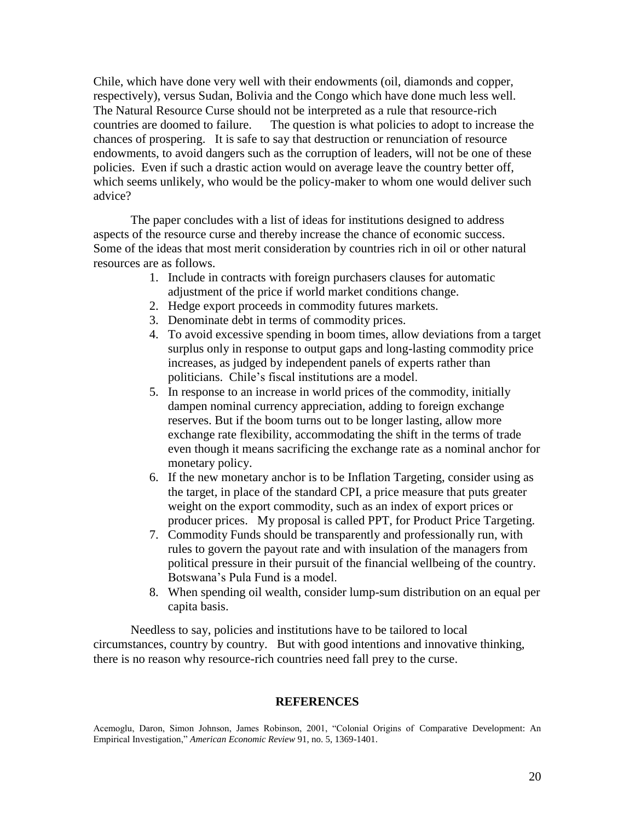Chile, which have done very well with their endowments (oil, diamonds and copper, respectively), versus Sudan, Bolivia and the Congo which have done much less well. The Natural Resource Curse should not be interpreted as a rule that resource-rich countries are doomed to failure. The question is what policies to adopt to increase the chances of prospering. It is safe to say that destruction or renunciation of resource endowments, to avoid dangers such as the corruption of leaders, will not be one of these policies. Even if such a drastic action would on average leave the country better off, which seems unlikely, who would be the policy-maker to whom one would deliver such advice?

The paper concludes with a list of ideas for institutions designed to address aspects of the resource curse and thereby increase the chance of economic success. Some of the ideas that most merit consideration by countries rich in oil or other natural resources are as follows.

- 1. Include in contracts with foreign purchasers clauses for automatic adjustment of the price if world market conditions change.
- 2. Hedge export proceeds in commodity futures markets.
- 3. Denominate debt in terms of commodity prices.
- 4. To avoid excessive spending in boom times, allow deviations from a target surplus only in response to output gaps and long-lasting commodity price increases, as judged by independent panels of experts rather than politicians. Chile"s fiscal institutions are a model.
- 5. In response to an increase in world prices of the commodity, initially dampen nominal currency appreciation, adding to foreign exchange reserves. But if the boom turns out to be longer lasting, allow more exchange rate flexibility, accommodating the shift in the terms of trade even though it means sacrificing the exchange rate as a nominal anchor for monetary policy.
- 6. If the new monetary anchor is to be Inflation Targeting, consider using as the target, in place of the standard CPI, a price measure that puts greater weight on the export commodity, such as an index of export prices or producer prices. My proposal is called PPT, for Product Price Targeting.
- 7. Commodity Funds should be transparently and professionally run, with rules to govern the payout rate and with insulation of the managers from political pressure in their pursuit of the financial wellbeing of the country. Botswana"s Pula Fund is a model.
- 8. When spending oil wealth, consider lump-sum distribution on an equal per capita basis.

Needless to say, policies and institutions have to be tailored to local circumstances, country by country. But with good intentions and innovative thinking, there is no reason why resource-rich countries need fall prey to the curse.

#### **REFERENCES**

Acemoglu, Daron, Simon Johnson, James Robinson, 2001, "Colonial Origins of Comparative Development: An Empirical Investigation," *American Economic Review* 91, no. 5, 1369-1401.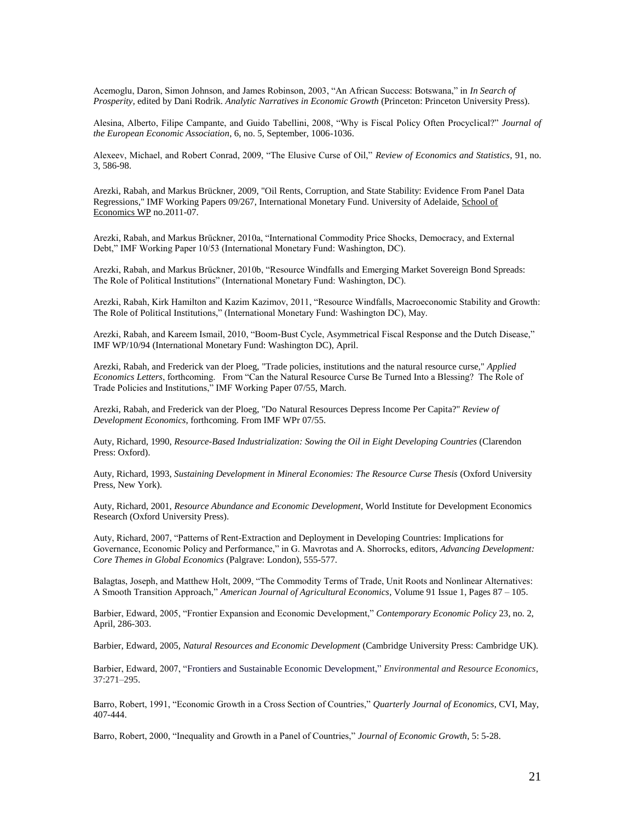Acemoglu, Daron, Simon Johnson, and James Robinson, 2003, "An African Success: Botswana," in *In Search of Prosperity,* edited by Dani Rodrik. *Analytic Narratives in Economic Growth* (Princeton: Princeton University Press).

Alesina, Alberto, Filipe Campante, and Guido Tabellini, 2008, "Why is Fiscal Policy Often Procyclical?" *Journal of the European Economic Association*, 6, no. 5, September, 1006-1036.

Alexeev, Michael, and Robert Conrad, 2009, "The Elusive Curse of Oil," *Review of Economics and Statistics*, 91, no. 3, 586-98.

Arezki, Rabah, and Markus Brückner, 2009, "Oil Rents, Corruption, and State Stability: Evidence From Panel Data Regressions," IMF Working Papers 09/267, International Monetary Fund. University of Adelaide[, School of](http://ideas.repec.org/s/adl/wpaper.html)  [Economics WP](http://ideas.repec.org/s/adl/wpaper.html) no.2011-07.

Arezki, Rabah, and Markus Brückner, 2010a, "International Commodity Price Shocks, Democracy, and External Debt," IMF Working Paper 10/53 (International Monetary Fund: Washington, DC).

Arezki, Rabah, and Markus Brückner, 2010b, "Resource Windfalls and Emerging Market Sovereign Bond Spreads: The Role of Political Institutions" (International Monetary Fund: Washington, DC).

Arezki, Rabah, Kirk Hamilton and Kazim Kazimov, 2011, "Resource Windfalls, Macroeconomic Stability and Growth: The Role of Political Institutions," (International Monetary Fund: Washington DC), May.

Arezki, Rabah, and Kareem Ismail, 2010, "Boom-Bust Cycle, Asymmetrical Fiscal Response and the Dutch Disease," IMF WP/10/94 (International Monetary Fund: Washington DC), April.

Arezki, Rabah, and Frederick van der Ploeg, "Trade policies, institutions and the natural resource curse," *Applied Economics Letters*, forthcoming. From "Can the Natural Resource Curse Be Turned Into a Blessing? The Role of Trade Policies and Institutions," IMF Working Paper 07/55, March.

Arezki, Rabah, and Frederick van der Ploeg, "Do Natural Resources Depress Income Per Capita?" *Review of Development Economics*, forthcoming. From IMF WPr 07/55.

Auty, Richard, 1990, *Resource-Based Industrialization: Sowing the Oil in Eight Developing Countries* (Clarendon Press: Oxford).

Auty, Richard, 1993, *Sustaining Development in Mineral Economies: The Resource Curse Thesis* (Oxford University Press, New York).

Auty, Richard, 2001, *Resource Abundance and Economic Development*, World Institute for Development Economics Research (Oxford University Press).

Auty, Richard, 2007, "Patterns of Rent-Extraction and Deployment in Developing Countries: Implications for Governance, Economic Policy and Performance," in G. Mavrotas and A. Shorrocks, editors, *Advancing Development: Core Themes in Global Economics* (Palgrave: London), 555-577.

Balagtas, Joseph, and Matthew Holt, 2009, "The Commodity Terms of Trade, Unit Roots and Nonlinear Alternatives: A Smooth Transition Approach," *[American Journal of Agricultural Economics](http://www3.interscience.wiley.com/journal/118482046/home)*, [Volume 91 Issue 1,](http://www3.interscience.wiley.com/journal/121634210/issue) Pages 87 – 105.

Barbier, Edward, 2005, "Frontier Expansion and Economic Development," *Contemporary Economic Policy* 23, no. 2, April, 286-303.

Barbier, Edward, 2005, *Natural Resources and Economic Development* (Cambridge University Press: Cambridge UK).

Barbier, Edward, 2007, "Frontiers and Sustainable Economic Development," *Environmental and Resource Economics*, 37:271–295.

Barro, Robert, 1991, "Economic Growth in a Cross Section of Countries," *Quarterly Journal of Economics*, CVI, May, 407-444.

Barro, Robert, 2000, "Inequality and Growth in a Panel of Countries," *Journal of Economic Growth*, 5: 5-28.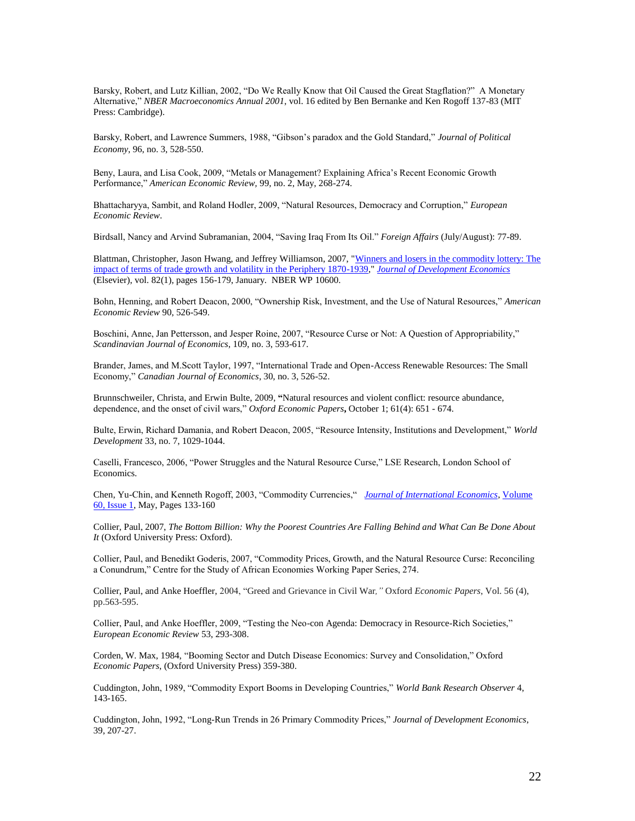Barsky, Robert, and Lutz Killian, 2002, "Do We Really Know that Oil Caused the Great Stagflation?" A Monetary Alternative," *NBER Macroeconomics Annual 2001*, vol. 16 edited by Ben Bernanke and Ken Rogoff 137-83 (MIT Press: Cambridge).

Barsky, Robert, and Lawrence Summers, 1988, "Gibson"s paradox and the Gold Standard," *Journal of Political Economy*, 96, no. 3, 528-550.

Beny, Laura, and Lisa Cook, 2009, "Metals or Management? Explaining Africa's Recent Economic Growth Performance," *American Economic Review,* 99, no. 2, May, 268-274.

Bhattacharyya, Sambit, and Roland Hodler, 2009, "Natural Resources, Democracy and Corruption," *European Economic Review*.

Birdsall, Nancy and Arvind Subramanian, 2004, "Saving Iraq From Its Oil." *Foreign Affairs* (July/August): 77-89.

Blattman, Christopher, Jason Hwang, and Jeffrey Williamson, 2007, ["Winners and losers in the commodity lottery: The](http://ideas.repec.org/a/eee/deveco/v82y2007i1p156-179.html)  impact of terms of [trade growth and volatility in the Periphery 1870-1939,](http://ideas.repec.org/a/eee/deveco/v82y2007i1p156-179.html)" *[Journal of Development Economics](http://ideas.repec.org/s/eee/deveco.html)* (Elsevier), vol. 82(1), pages 156-179, January. NBER WP 10600.

Bohn, Henning, and Robert Deacon, 2000, "Ownership Risk, Investment, and the Use of Natural Resources," *American Economic Review* 90, 526-549.

Boschini, Anne, Jan Pettersson, and Jesper Roine, 2007, "Resource Curse or Not: A Question of Appropriability," *Scandinavian Journal of Economics*, 109, no. 3, 593-617.

Brander, James, and M.Scott Taylor, 1997, "International Trade and Open-Access Renewable Resources: The Small Economy," *Canadian Journal of Economics*, 30, no. 3, 526-52.

Brunnschweiler, Christa, and Erwin Bulte, 2009, **"**Natural resources and violent conflict: resource abundance, dependence, and the onset of civil wars," *Oxford Economic Papers***,** October 1; 61(4): 651 - 674.

Bulte, Erwin, Richard Damania, and Robert Deacon, 2005, "Resource Intensity, Institutions and Development," *World Development* 33, no. 7, 1029-1044.

Caselli, Francesco, 2006, "Power Struggles and the Natural Resource Curse," LSE Research, London School of Economics.

Chen, Yu-Chin, and Kenneth Rogoff, 2003, "Commodity Currencies," *[Journal of International Economics](http://www.sciencedirect.com/science/journal/00221996)*[, Volume](http://www.sciencedirect.com/science?_ob=PublicationURL&_tockey=%23TOC%235812%232003%23999399998%23409276%23FLA%23&_cdi=5812&_pubType=J&view=c&_auth=y&_acct=C000050221&_version=1&_urlVersion=0&_userid=10&md5=b5c9832ea721120336ababfa604dac91)  [60, Issue 1,](http://www.sciencedirect.com/science?_ob=PublicationURL&_tockey=%23TOC%235812%232003%23999399998%23409276%23FLA%23&_cdi=5812&_pubType=J&view=c&_auth=y&_acct=C000050221&_version=1&_urlVersion=0&_userid=10&md5=b5c9832ea721120336ababfa604dac91) May, Pages 133-160

Collier, Paul, 2007, *The Bottom Billion: Why the Poorest Countries Are Falling Behind and What Can Be Done About It* (Oxford University Press: Oxford).

Collier, Paul, and Benedikt Goderis, 2007, "Commodity Prices, Growth, and the Natural Resource Curse: Reconciling a Conundrum," Centre for the Study of African Economies Working Paper Series, 274.

Collier, Paul, and Anke Hoeffler, 2004, "Greed and Grievance in Civil War*,"* Oxford *Economic Papers*, Vol. 56 (4), pp.563-595.

Collier, Paul, and Anke Hoeffler, 2009, "Testing the Neo-con Agenda: Democracy in Resource-Rich Societies," *European Economic Review* 53, 293-308.

Corden, W. Max, 1984, "Booming Sector and Dutch Disease Economics: Survey and Consolidation," Oxford *Economic Papers*, (Oxford University Press) 359-380.

Cuddington, John, 1989, "Commodity Export Booms in Developing Countries," *World Bank Research Observer* 4, 143-165.

Cuddington, John, 1992, "Long-Run Trends in 26 Primary Commodity Prices," *Journal of Development Economics*, 39, 207-27.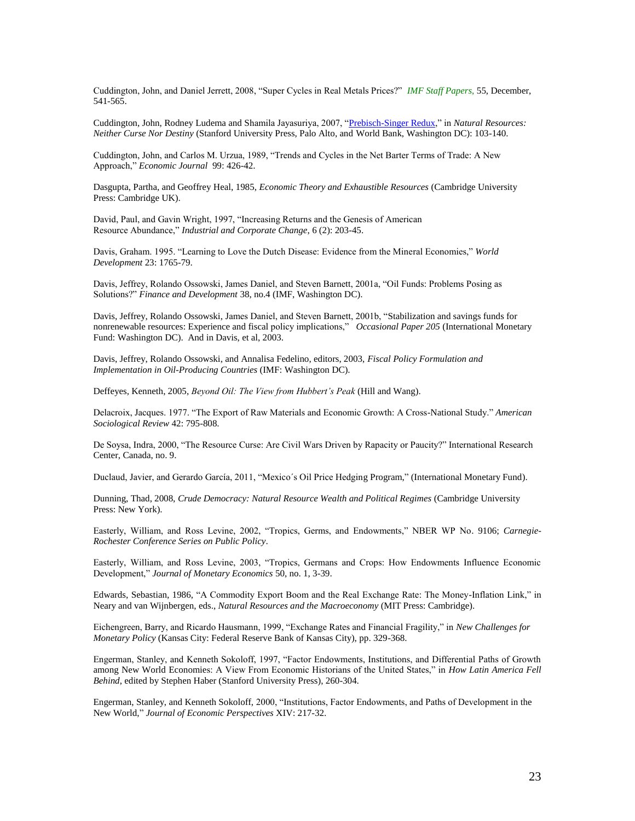Cuddington, John, and Daniel Jerrett, 2008, "Super Cycles in Real Metals Prices?" *IMF Staff Papers*, 55, December, 541-565.

Cuddington, John, Rodney Ludema and Shamila Jayasuriya, 2007, ["Prebisch-Singer Redux,](http://www.thefactz.org/wto/cache/PSRedux_cuddington_etal.pdf)" in *Natural Resources: Neither Curse Nor Destiny* (Stanford University Press, Palo Alto, and World Bank, Washington DC): 103-140.

Cuddington, John, and Carlos M. Urzua, 1989, "Trends and Cycles in the Net Barter Terms of Trade: A New Approach," *Economic Journal* 99: 426-42.

Dasgupta, Partha, and Geoffrey Heal, 1985, *Economic Theory and Exhaustible Resources* (Cambridge University Press: Cambridge UK).

David, Paul, and Gavin Wright, 1997, "Increasing Returns and the Genesis of American Resource Abundance," *Industrial and Corporate Change*, 6 (2): 203-45.

Davis, Graham. 1995. "Learning to Love the Dutch Disease: Evidence from the Mineral Economies," *World Development* 23: 1765-79.

Davis, Jeffrey, Rolando Ossowski, James Daniel, and Steven Barnett, 2001a, "Oil Funds: Problems Posing as Solutions?" *Finance and Development* 38, no.4 (IMF, Washington DC).

Davis, Jeffrey, Rolando Ossowski, James Daniel, and Steven Barnett, 2001b, ["Stabilization and savings funds for](http://books.google.com/books?hl=en&lr=&id=-vHwrU2r_E4C&oi=fnd&pg=PP13&dq=chile+fiscal+rule+dutch+disease+budget&ots=W3XwZNpRfR&sig=toq-da_ozIkAN5x_hrqOB9jLd5g)  [nonrenewable resources: Experience and fiscal policy implications,"](http://books.google.com/books?hl=en&lr=&id=-vHwrU2r_E4C&oi=fnd&pg=PP13&dq=chile+fiscal+rule+dutch+disease+budget&ots=W3XwZNpRfR&sig=toq-da_ozIkAN5x_hrqOB9jLd5g) *Occasional Paper 205* (International Monetary Fund: Washington DC). And in Davis, et al, 2003.

Davis, Jeffrey, Rolando Ossowski, and Annalisa Fedelino, editors, 2003, *Fiscal Policy Formulation and Implementation in Oil-Producing Countries* (IMF: Washington DC).

Deffeyes, Kenneth, 2005, *Beyond Oil: The View from Hubbert's Peak* (Hill and Wang).

Delacroix, Jacques. 1977. "The Export of Raw Materials and Economic Growth: A Cross-National Study." *American Sociological Review* 42: 795-808.

De Soysa, Indra, 2000, "The Resource Curse: Are Civil Wars Driven by Rapacity or Paucity?" International Research Center, Canada, no. 9.

Duclaud, Javier, and Gerardo García, 2011, "Mexico´s Oil Price Hedging Program," (International Monetary Fund).

Dunning, Thad, 2008, *Crude Democracy: Natural Resource Wealth and Political Regimes* (Cambridge University Press: New York).

Easterly, William, and Ross Levine, 2002, "Tropics, Germs, and Endowments," NBER WP No. 9106; *Carnegie-Rochester Conference Series on Public Policy*.

Easterly, William, and Ross Levine, 2003, "Tropics, Germans and Crops: How Endowments Influence Economic Development," *Journal of Monetary Economics* 50, no. 1, 3-39.

Edwards, Sebastian, 1986, "A Commodity Export Boom and the Real Exchange Rate: The Money-Inflation Link," in Neary and van Wijnbergen, eds., *Natural Resources and the Macroeconomy* (MIT Press: Cambridge).

Eichengreen, Barry, and Ricardo Hausmann, 1999, "Exchange Rates and Financial Fragility," in *New Challenges for Monetary Policy* (Kansas City: Federal Reserve Bank of Kansas City), pp. 329-368.

Engerman, Stanley, and Kenneth Sokoloff, 1997, "Factor Endowments, Institutions, and Differential Paths of Growth among New World Economies: A View From Economic Historians of the United States," in *How Latin America Fell Behind*, edited by Stephen Haber (Stanford University Press), 260-304.

Engerman, Stanley, and Kenneth Sokoloff, 2000, "Institutions, Factor Endowments, and Paths of Development in the New World," *Journal of Economic Perspectives* XIV: 217-32.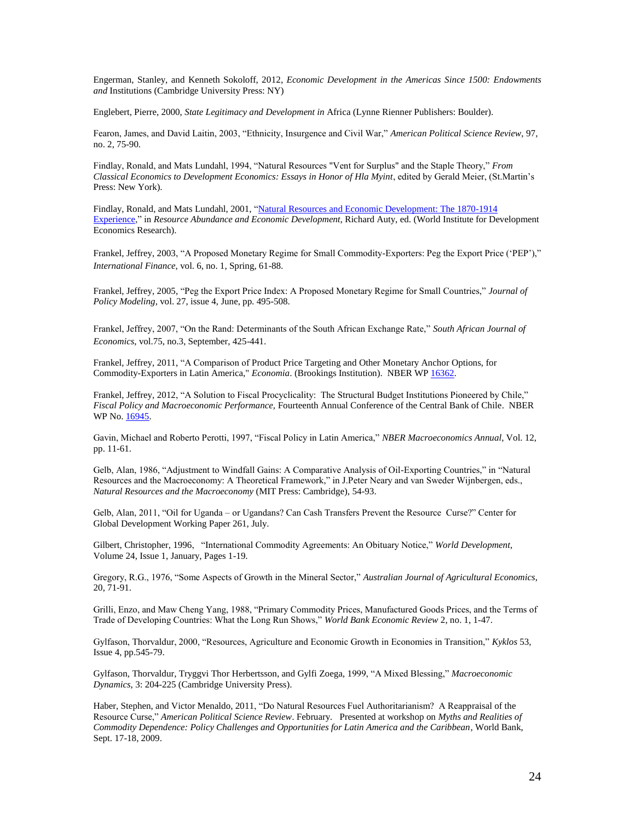Engerman, Stanley, and Kenneth Sokoloff, 2012, *Economic Development in the Americas Since 1500: Endowments and* Institutions (Cambridge University Press: NY)

Englebert, Pierre, 2000, *State Legitimacy and Development in* Africa (Lynne Rienner Publishers: Boulder).

Fearon, James, and David Laitin, 2003, "Ethnicity, Insurgence and Civil War," *American Political Science Review*, 97, no. 2, 75-90.

Findlay, Ronald, and Mats Lundahl, 1994, "Natural Resources "Vent for Surplus" and the Staple Theory," *From Classical Economics to Development Economics: Essays in Honor of Hla Myint*, edited by Gerald Meier, (St.Martin"s Press: New York).

Findlay, Ronald, and Mats Lundahl, 2001, "Natural Resources and Economic Development: The 1870-1914 [Experience,"](http://books.google.com/books?hl=en&lr=&id=Q_H9TE7eW-wC&oi=fnd&pg=PA95&dq=findlay+ronald+natural+resource&ots=A7sBLsGhTi&sig=MwFFOQgpGlKLTl8Kjq0eMb3jI4k) in *Resource Abundance and Economic Development,* Richard Auty, ed. (World Institute for Development Economics Research).

Frankel, Jeffrey, 2003, "A Proposed Monetary Regime for Small Commodity-Exporters: Peg the Export Price ("PEP")," *International Finance*, vol. 6, no. 1, Spring, 61-88.

Frankel, Jeffrey, 2005, "Peg the Export Price Index: A Proposed Monetary Regime for Small Countries," *Journal of Policy Modeling*, vol. 27, issue 4, June, pp. 495-508.

Frankel, Jeffrey, 2007, "On the Rand: Determinants of the South African Exchange Rate," *South African Journal of Economics*, vol.75, no.3, September, 425-441.

Frankel, Jeffrey, 2011, "A Comparison of Product Price Targeting and Other Monetary Anchor Options, for Commodity-Exporters in Latin America," *Economia*. (Brookings Institution). NBER W[P 16362.](http://www.hks.harvard.edu/fs/jfrankel/LAC-PPTw16362.pdf)

Frankel, Jeffrey, 2012, "A Solution to Fiscal Procyclicality: The Structural Budget Institutions Pioneered by Chile," *Fiscal Policy and Macroeconomic Performance,* Fourteenth Annual Conference of the Central Bank of Chile. NBER WP No[. 16945.](http://www.hks.harvard.edu/fs/jfrankel/ChileBudgetRules2011AprNBER.pdf)

Gavin, Michael and Roberto Perotti, 1997, "Fiscal Policy in Latin America," *NBER Macroeconomics Annual*, Vol. 12, pp. 11-61.

Gelb, Alan, 1986, "Adjustment to Windfall Gains: A Comparative Analysis of Oil-Exporting Countries," in "Natural Resources and the Macroeconomy: A Theoretical Framework," in J.Peter Neary and van Sweder Wijnbergen, eds., *Natural Resources and the Macroeconomy* (MIT Press: Cambridge), 54-93.

Gelb, Alan, 2011, "Oil for Uganda – or Ugandans? Can Cash Transfers Prevent the Resource Curse?" Center for Global Development Working Paper 261, July.

Gilbert, Christopher, 1996, "International Commodity Agreements: An Obituary Notice," *[World Development](http://www.sciencedirect.com/science/journal/0305750X)*, [Volume 24, Issue 1,](http://www.sciencedirect.com/science?_ob=PublicationURL&_tockey=%23TOC%235946%231996%23999759998%2369430%23FLP%23&_cdi=5946&_pubType=J&view=c&_auth=y&_acct=C000050221&_version=1&_urlVersion=0&_userid=10&md5=15249b031811f9043b405f5ccaf93f25) January, Pages 1-19.

Gregory, R.G., 1976, "Some Aspects of Growth in the Mineral Sector," *Australian Journal of Agricultural Economics*, 20, 71-91.

Grilli, Enzo, and Maw Cheng Yang, 1988, "Primary Commodity Prices, Manufactured Goods Prices, and the Terms of Trade of Developing Countries: What the Long Run Shows," *World Bank Economic Review* 2, no. 1, 1-47.

Gylfason, Thorvaldur, 2000, "Resources, Agriculture and Economic Growth in Economies in Transition," *Kyklos* 53, Issue 4, pp.545-79.

Gylfason, Thorvaldur, Tryggvi Thor Herbertsson, and Gylfi Zoega, 1999, "A Mixed Blessing," *Macroeconomic Dynamics*, 3: 204-225 (Cambridge University Press).

Haber, Stephen, and Victor Menaldo, 2011, "Do Natural Resources Fuel Authoritarianism? A Reappraisal of the Resource Curse," *American Political Science Review*. February. Presented at workshop on *Myths and Realities of Commodity Dependence: Policy Challenges and Opportunities for Latin America and the Caribbean*, World Bank, Sept. 17-18, 2009.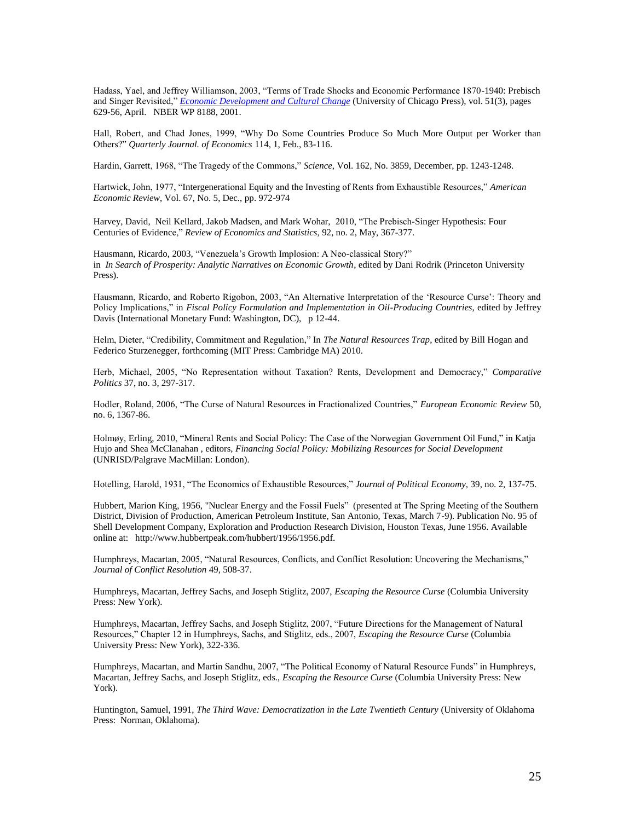Hadass, Yael, and Jeffrey Williamson, 2003, "Terms of Trade Shocks and Economic Performance 1870-1940: Prebisch and Singer Revisited," *[Economic Development and Cultural Change](http://ideas.repec.org/s/ucp/ecdecc.html)* (University of Chicago Press), vol. 51(3), pages 629-56, April. NBER WP 8188, 2001.

Hall, Robert, and Chad Jones, 1999, "Why Do Some Countries Produce So Much More Output per Worker than Others?" *Quarterly Journal. of Economics* 114, 1, Feb., 83-116.

Hardin, Garrett, 1968, "The Tragedy of the Commons," *Science*, Vol. 162, No. 3859, December, pp. 1243-1248.

Hartwick, John, 1977, "Intergenerational Equity and the Investing of Rents from Exhaustible Resources," *American Economic Review*, Vol. 67, No. 5, Dec., pp. 972-974

Harvey, David, Neil Kellard, Jakob Madsen, and Mark Wohar, 2010, "The Prebisch-Singer Hypothesis: Four Centuries of Evidence," *Review of Economics and Statistics*, 92, no. 2, May, 367-377.

Hausmann, Ricardo, 2003, "Venezuela"s Growth Implosion: A Neo-classical Story?" in *In Search of Prosperity: Analytic Narratives on Economic Growth*, edited by Dani Rodrik (Princeton University Press).

Hausmann, Ricardo, and Roberto Rigobon, 2003, "An Alternative Interpretation of the "Resource Curse": Theory and Policy Implications," in *Fiscal Policy Formulation and Implementation in Oil-Producing Countries*, edited by Jeffrey Davis (International Monetary Fund: Washington, DC), p 12-44.

Helm, Dieter, "Credibility, Commitment and Regulation," In *The Natural Resources Trap*, edited by Bill Hogan and Federico Sturzenegger, forthcoming (MIT Press: Cambridge MA) 2010.

Herb, Michael, 2005, "No Representation without Taxation? Rents, Development and Democracy," *Comparative Politics* 37, no. 3, 297-317.

Hodler, Roland, 2006, "The Curse of Natural Resources in Fractionalized Countries," *European Economic Review* 50, no. 6, 1367-86.

Holmøy, Erling, 2010, "Mineral Rents and Social Policy: The Case of the Norwegian Government Oil Fund," in Katja Hujo an[d Shea McClanahan](http://www.palgraveconnect.com/pc/browse/advancedsearchresults?authorEditor=Shea%20McClanahan) , editors, *Financing Social Policy: Mobilizing Resources for Social Development*  (UNRISD/Palgrave MacMillan: London).

Hotelling, Harold, 1931, "The Economics of Exhaustible Resources," *Journal of Political Economy,* 39, no. 2, 137-75.

Hubbert, Marion King, 1956, "Nuclear Energy and the Fossil Fuels" (presented at The Spring Meeting of the Southern District, Division of Production, American Petroleum Institute, San Antonio, Texas, March 7-9). Publication No. 95 of Shell Development Company, Exploration and Production Research Division, Houston Texas, June 1956. Available online at: http://www.hubbertpeak.com/hubbert/1956/1956.pdf.

Humphreys, Macartan, 2005, "Natural Resources, Conflicts, and Conflict Resolution: Uncovering the Mechanisms," *Journal of Conflict Resolution* 49, 508-37.

Humphreys, Macartan, Jeffrey Sachs, and Joseph Stiglitz, 2007, *Escaping the Resource Curse* (Columbia University Press: New York).

Humphreys, Macartan, Jeffrey Sachs, and Joseph Stiglitz, 2007, "Future Directions for the Management of Natural Resources," Chapter 12 in Humphreys, Sachs, and Stiglitz, eds., 2007, *Escaping the Resource Curse* (Columbia University Press: New York), 322-336.

Humphreys, Macartan, and Martin Sandhu, 2007, "The Political Economy of Natural Resource Funds" in Humphreys, Macartan, Jeffrey Sachs, and Joseph Stiglitz, eds., *Escaping the Resource Curse* (Columbia University Press: New York).

Huntington, Samuel, 1991, *The Third Wave: Democratization in the Late Twentieth Century* (University of Oklahoma Press: Norman, Oklahoma).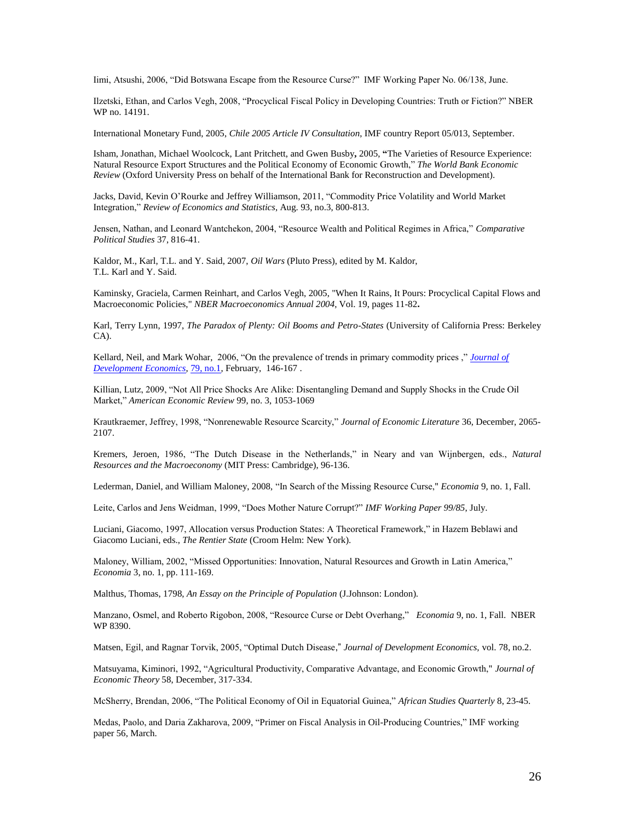Iimi, Atsushi, 2006, "Did Botswana Escape from the Resource Curse?" IMF Working Paper No. 06/138, June.

Ilzetski, Ethan, and Carlos Vegh, 2008, "Procyclical Fiscal Policy in Developing Countries: Truth or Fiction?" NBER WP no. 14191.

International Monetary Fund, 2005, *Chile 2005 Article IV Consultation*, IMF country Report 05/013, September.

Isham, Jonathan, Michael Woolcock, Lant Pritchett, and Gwen Busby**,** 2005, **"**The Varieties of Resource Experience: Natural Resource Export Structures and the Political Economy of Economic Growth," *The World Bank Economic Review* (Oxford University Press on behalf of the International Bank for Reconstruction and Development).

Jacks, David, Kevin O"Rourke and Jeffrey Williamson, 2011, "Commodity Price Volatility and World Market Integration," *Review of Economics and Statistics*, Aug. 93, no.3, 800-813.

Jensen, Nathan, and Leonard Wantchekon, 2004, "Resource Wealth and Political Regimes in Africa," *Comparative Political Studies* 37, 816-41.

Kaldor, M., Karl, T.L. and Y. Said, 2007, *Oil Wars* (Pluto Press), edited by M. Kaldor, T.L. Karl and Y. Said.

Kaminsky, Graciela, Carmen Reinhart, and Carlos Vegh, 2005, "When It Rains, It Pours: Procyclical Capital Flows and Macroeconomic Policies," *NBER Macroeconomics Annual 2004*, Vol. 19, pages 11-82**.**

Karl, Terry Lynn, 1997, *The Paradox of Plenty: Oil Booms and Petro-States* (University of California Press: Berkeley CA).

Kellard, Neil, and Mark Wohar, 2006, "On the prevalence of trends in primary commodity prices ," *[Journal of](http://www.sciencedirect.com/science/journal/03043878)  [Development Economics](http://www.sciencedirect.com/science/journal/03043878)*[, 79, no.1,](http://www.sciencedirect.com/science?_ob=PublicationURL&_tockey=%23TOC%235936%232006%23999209998%23611754%23FLA%23&_cdi=5936&_pubType=J&view=c&_auth=y&_acct=C000050221&_version=1&_urlVersion=0&_userid=10&md5=7a2c762012111bfe30f94e3fb5c8dae5) February, 146-167 .

Killian, Lutz, 2009, "Not All Price Shocks Are Alike: Disentangling Demand and Supply Shocks in the Crude Oil Market," *American Economic Review* 99, no. 3, 1053-1069

Krautkraemer, Jeffrey, 1998, "Nonrenewable Resource Scarcity," *Journal of Economic Literature* 36, December, 2065- 2107.

Kremers, Jeroen, 1986, "The Dutch Disease in the Netherlands," in Neary and van Wijnbergen, eds., *Natural Resources and the Macroeconomy* (MIT Press: Cambridge), 96-136.

Lederman, Daniel, and William Maloney, 2008, "In Search of the Missing Resource Curse," *Economia* 9, no. 1, Fall.

Leite, Carlos and Jens Weidman, 1999, "Does Mother Nature Corrupt?" *IMF Working Paper 99/85*, July.

Luciani, Giacomo, 1997, Allocation versus Production States: A Theoretical Framework," in Hazem Beblawi and Giacomo Luciani, eds., *The Rentier State* (Croom Helm: New York).

Maloney, William, 2002, "Missed Opportunities: Innovation, Natural Resources and Growth in Latin America," *Economia* 3, no. 1, pp. 111-169.

Malthus, Thomas, 1798, *An Essay on the Principle of Population* (J.Johnson: London).

Manzano, Osmel, and Roberto Rigobon, 2008, "Resource Curse or Debt Overhang," *Economia* 9, no. 1, Fall. NBER WP 8390.

Matsen, Egil, and Ragnar Torvik, 2005, "Optimal Dutch Disease," *Journal of Development Economics,* vol. 78, no.2.

Matsuyama, Kiminori, 1992, "Agricultural Productivity, Comparative Advantage, and Economic Growth," *Journal of Economic Theory* 58, December, 317-334.

McSherry, Brendan, 2006, "The Political Economy of Oil in Equatorial Guinea," *African Studies Quarterly* 8, 23-45.

Medas, Paolo, and Daria Zakharova, 2009, "Primer on Fiscal Analysis in Oil-Producing Countries," IMF working paper 56, March.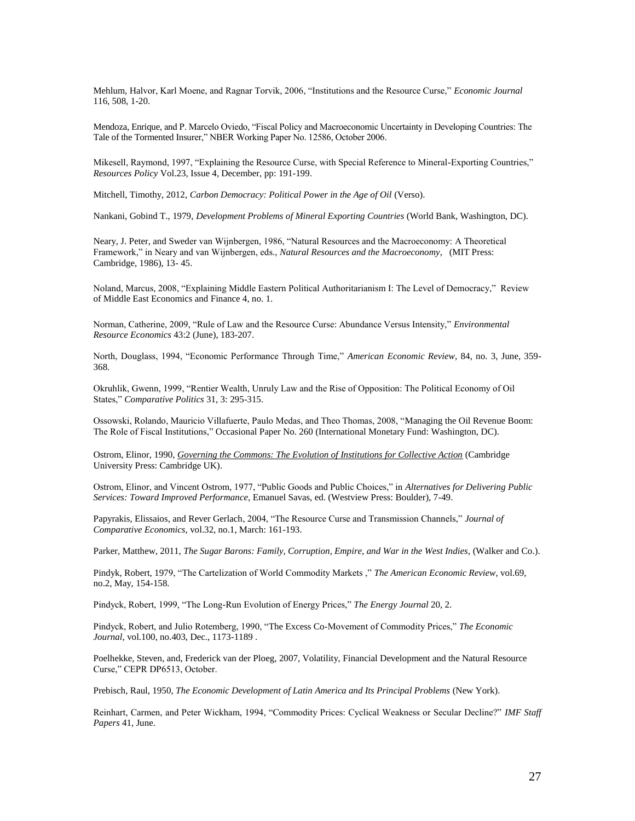Mehlum, Halvor, Karl Moene, and Ragnar Torvik, 2006, "Institutions and the Resource Curse," *Economic Journal* 116, 508, 1-20.

Mendoza, Enrique, and P. Marcelo Oviedo, "Fiscal Policy and Macroeconomic Uncertainty in Developing Countries: The Tale of the Tormented Insurer," NBER Working Paper No. 12586, October 2006.

Mikesell, Raymond, 1997, "Explaining the Resource Curse, with Special Reference to Mineral-Exporting Countries," *[Resources Policy](http://www.sciencedirect.com/science/journal/03014207)* [Vol.23, Issue 4,](http://www.sciencedirect.com/science?_ob=PublicationURL&_tockey=%23TOC%235930%231997%23999769995%2312222%23FLP%23&_cdi=5930&_pubType=J&view=c&_auth=y&_acct=C000050221&_version=1&_urlVersion=0&_userid=10&md5=2bae6f13683418acac84bc757f44f49f) December, pp: 191-199.

Mitchell, Timothy, 2012, *Carbon Democracy: Political Power in the Age of Oil* (Verso).

Nankani, Gobind T., 1979, *Development Problems of Mineral Exporting Countries* (World Bank, Washington, DC).

Neary, J. Peter, and Sweder van Wijnbergen, 1986, "Natural Resources and the Macroeconomy: A Theoretical Framework," in Neary and van Wijnbergen, eds., *Natural Resources and the Macroeconomy*, (MIT Press: Cambridge, 1986), 13- 45.

Noland, Marcus, 2008, "Explaining Middle Eastern Political Authoritarianism I: The Level of Democracy," Review of Middle East Economics and Finance 4, no. 1.

Norman, Catherine, 2009, "Rule of Law and the Resource Curse: Abundance Versus Intensity," *Environmental Resource Economics* 43:2 (June), 183-207.

North, Douglass, 1994, "Economic Performance Through Time," *American Economic Review*, 84, no. 3, June, 359- 368.

Okruhlik, Gwenn, 1999, "Rentier Wealth, Unruly Law and the Rise of Opposition: The Political Economy of Oil States," *Comparative Politics* 31, 3: 295-315.

Ossowski, Rolando, Mauricio Villafuerte, Paulo Medas, and Theo Thomas, 2008, "Managing the Oil Revenue Boom: The Role of Fiscal Institutions," Occasional Paper No. 260 (International Monetary Fund: Washington, DC).

Ostrom, Elinor, 1990, *[Governing the Commons: The Evolution of Institutions for Collective Action](http://books.google.com/books?hl=en&lr=&id=4xg6oUobMz4C&oi=fnd&pg=PR11&dq=elinor+ostrom&ots=aLbpCMpI-m&sig=GPrGu79CLMK3C7B_QcUH3j4jQy8)* (Cambridge University Press: Cambridge UK).

Ostrom, Elinor, and Vincent Ostrom, 1977, "Public Goods and Public Choices," in *Alternatives for Delivering Public Services: Toward Improved Performance,* Emanuel Savas, ed. (Westview Press: Boulder), 7-49.

Papyrakis, Elissaios, and Rever Gerlach, 2004, "The Resource Curse and Transmission Channels," *Journal of Comparative Economics*, vol.32, no.1, March: 161-193.

Parker, Matthew, 2011, *The Sugar Barons: Family, Corruption, Empire, and War in the West Indies*, (Walker and Co.).

Pindyk, Robert, 1979, "The Cartelization of World Commodity Markets ," *The American Economic Review*, vol.69, no.2, May, 154-158.

Pindyck, Robert, 1999, "The Long-Run Evolution of Energy Prices," *The Energy Journal* 20, 2.

Pindyck, Robert, and Julio Rotemberg, 1990, "The Excess Co-Movement of Commodity Prices," *The Economic Journal*, vol.100, no.403, Dec., 1173-1189 .

[Poelhekke,](http://www.cepr.org/researchers/details/rschcontact.asp?IDENT=167187) Steven, and[, Frederick van der Ploeg,](http://www.cepr.org/researchers/details/rschcontact.asp?IDENT=100358) 2007, Volatility, Financial Development and the Natural Resource Curse," CEPR DP6513, October.

Prebisch, Raul, 1950, *The Economic Development of Latin America and Its Principal Problems* (New York).

Reinhart, Carmen, and Peter Wickham, 1994, "Commodity Prices: Cyclical Weakness or Secular Decline?" *IMF Staff Papers* 41, June.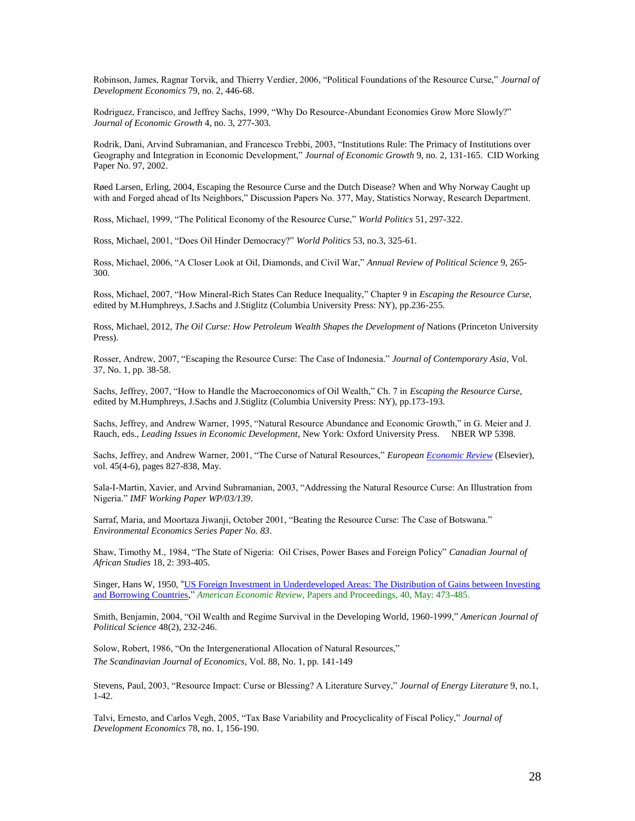Robinson, James, Ragnar Torvik, and Thierry Verdier, 2006, "Political Foundations of the Resource Curse," *Journal of Development Economics* 79, no. 2, 446-68.

Rodriguez, Francisco, and Jeffrey Sachs, 1999, "Why Do Resource-Abundant Economies Grow More Slowly?" *Journal of Economic Growth* 4, no. 3, 277-303.

Rodrik, Dani, Arvind Subramanian, and Francesco Trebbi, 2003, "Institutions Rule: The Primacy of Institutions over Geography and Integration in Economic Development," *Journal of Economic Growth* 9, no. 2, 131-165. CID Working Paper No. 97, 2002.

Røed Larsen, Erling, 2004, Escaping the Resource Curse and the Dutch Disease? When and Why Norway Caught up with and Forged ahead of Its Neighbors," Discussion Papers No. 377, May, Statistics Norway, Research Department.

Ross, Michael, 1999, "The Political Economy of the Resource Curse," *World Politics* 51, 297-322.

Ross, Michael, 2001, "Does Oil Hinder Democracy?" *World Politics* 53, no.3, 325-61.

Ross, Michael, 2006, "A Closer Look at Oil, Diamonds, and Civil War," *Annual Review of Political Science* 9, 265- 300.

Ross, Michael, 2007, "How Mineral-Rich States Can Reduce Inequality," Chapter 9 in *Escaping the Resource Curse*, edited by M.Humphreys, J.Sachs and J.Stiglitz (Columbia University Press: NY), pp.236-255.

Ross, Michael, 2012, *The Oil Curse: How Petroleum Wealth Shapes the Development of* Nations (Princeton University Press).

Rosser, Andrew, 2007, "Escaping the Resource Curse: The Case of Indonesia." *Journal of Contemporary Asia,* Vol. 37, No. 1, pp. 38-58.

Sachs, Jeffrey, 2007, "How to Handle the Macroeconomics of Oil Wealth," Ch. 7 in *Escaping the Resource Curse*, edited by M.Humphreys, J.Sachs and J.Stiglitz (Columbia University Press: NY), pp.173-193.

Sachs, Jeffrey, and Andrew Warner, 1995, "Natural Resource Abundance and Economic Growth," in G. Meier and J. Rauch, eds., *Leading Issues in Economic Development*, New York: Oxford University Press. NBER WP 5398.

Sachs, Jeffrey, and Andrew Warner, 2001, "The Curse of Natural Resources," *Europea[n Economic Review](http://ideas.repec.org/s/eee/eecrev.html)* (Elsevier), vol. 45(4-6), pages 827-838, May.

Sala-I-Martin, Xavier, and Arvind Subramanian, 2003, "Addressing the Natural Resource Curse: An Illustration from Nigeria." *IMF Working Paper WP/03/139*.

Sarraf, Maria, and Moortaza Jiwanji, October 2001, "Beating the Resource Curse: The Case of Botswana." *Environmental Economics Series Paper No. 83*.

Shaw, Timothy M., 1984, "The State of Nigeria: Oil Crises, Power Bases and Foreign Policy" *Canadian Journal of African Studies* 18, 2: 393-405.

Singer, Hans W, 1950, "[US Foreign Investment in Underdeveloped Areas: The Distribution of Gains between Investing](http://www.newslinx.org/SA/pdfs/singer.pdf)  [and Borrowing Countries,"](http://www.newslinx.org/SA/pdfs/singer.pdf) *American Economic Review*, Papers and Proceedings, 40, May: 473-485.

Smith, Benjamin, 2004, "Oil Wealth and Regime Survival in the Developing World, 1960-1999," *American Journal of Political Science* 48(2), 232-246.

Solow, Robert, 1986, "On the Intergenerational Allocation of Natural Resources," *The Scandinavian Journal of Economics*, Vol. 88, No. 1, pp. 141-149

Stevens, Paul, 2003, "Resource Impact: Curse or Blessing? A Literature Survey," *Journal of Energy Literature* 9, no.1, 1-42.

Talvi, Ernesto, and Carlos Vegh, 2005, "Tax Base Variability and Procyclicality of Fiscal Policy," *Journal of Development Economics* 78, no. 1, 156-190.